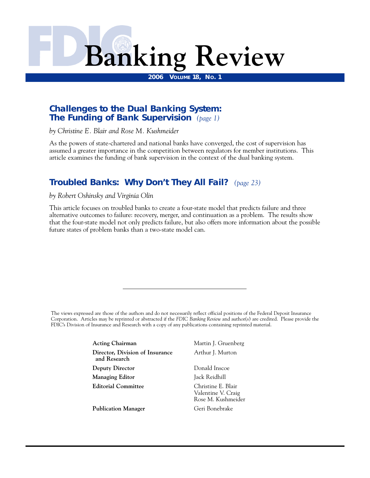

**2006 VOLUME 18, NO. 1** 

# **Challenges to the Dual Banking System: The Funding of Bank Supervision** *(page 1)*

*by Christine E. Blair and Rose M. Kushmeider* 

As the powers of state-chartered and national banks have converged, the cost of supervision has assumed a greater importance in the competition between regulators for member institutions. This article examines the funding of bank supervision in the context of the dual banking system.

# **Troubled Banks: Why Don't They All Fail?** *(page 23)*

*by Robert Oshinsky and Virginia Olin* 

This article focuses on troubled banks to create a four-state model that predicts failure and three alternative outcomes to failure: recovery, merger, and continuation as a problem. The results show that the four-state model not only predicts failure, but also offers more information about the possible future states of problem banks than a two-state model can.

The views expressed are those of the authors and do not necessarily reflect official positions of the Federal Deposit Insurance Corporation. Articles may be reprinted or abstracted if the *FDIC Banking Review* and author(s) are credited. Please provide the FDIC's Division of Insurance and Research with a copy of any publications containing reprinted material.

> **Acting Chairman Martin J. Gruenberg Director, Division of Insurance** Arthur J. Murton **and Research Deputy Director Donald Inscoe Managing Editor** Jack Reidhill **Editorial Committee** Christine E. Blair

Publication Manager **Geri Bonebrake** 

Valentine V. Craig Rose M. Kushmeider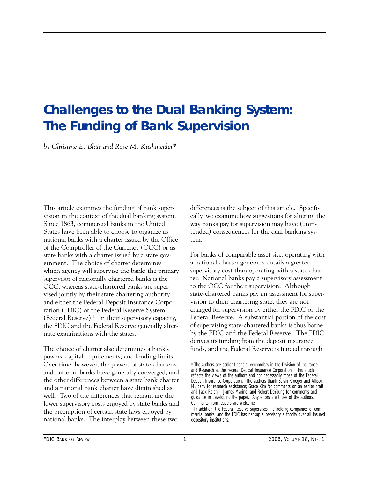# **Challenges to the Dual Banking System: The Funding of Bank Supervision**

*by Christine E. Blair and Rose M. Kushmeider\** 

This article examines the funding of bank supervision in the context of the dual banking system. Since 1863, commercial banks in the United States have been able to choose to organize as national banks with a charter issued by the Office of the Comptroller of the Currency (OCC) or as state banks with a charter issued by a state government. The choice of charter determines which agency will supervise the bank: the primary supervisor of nationally chartered banks is the OCC, whereas state-chartered banks are supervised jointly by their state chartering authority and either the Federal Deposit Insurance Corporation (FDIC) or the Federal Reserve System (Federal Reserve).<sup>1</sup> In their supervisory capacity, the FDIC and the Federal Reserve generally alternate examinations with the states.

The choice of charter also determines a bank's powers, capital requirements, and lending limits. Over time, however, the powers of state-chartered and national banks have generally converged, and the other differences between a state bank charter and a national bank charter have diminished as well. Two of the differences that remain are the lower supervisory costs enjoyed by state banks and the preemption of certain state laws enjoyed by national banks. The interplay between these two

differences is the subject of this article. Specifically, we examine how suggestions for altering the way banks pay for supervision may have (unintended) consequences for the dual banking system.

 Federal Reserve. A substantial portion of the cost For banks of comparable asset size, operating with a national charter generally entails a greater supervisory cost than operating with a state charter. National banks pay a supervisory assessment to the OCC for their supervision. Although state-chartered banks pay an assessment for supervision to their chartering state, they are not charged for supervision by either the FDIC or the of supervising state-chartered banks is thus borne by the FDIC and the Federal Reserve. The FDIC derives its funding from the deposit insurance funds, and the Federal Reserve is funded through

<sup>\*</sup> The authors are senior financial economists in the Division of Insurance and Research at the Federal Deposit Insurance Corporation. This article reflects the views of the authors and not necessarily those of the Federal Deposit Insurance Corporation. The authors thank Sarah Kroeger and Allison Mulcahy for research assistance; Grace Kim for comments on an earlier draft; and Jack Reidhill, James Marino, and Robert DeYoung for comments and guidance in developing the paper. Any errors are those of the authors. Comments from readers are welcome.

<sup>&</sup>lt;sup>1</sup> In addition, the Federal Reserve supervises the holding companies of commercial banks, and the FDIC has backup supervisory authority over all insured depository institutions.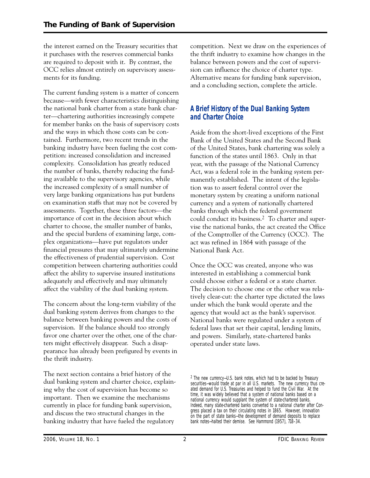the interest earned on the Treasury securities that it purchases with the reserves commercial banks are required to deposit with it. By contrast, the OCC relies almost entirely on supervisory assessments for its funding.

The current funding system is a matter of concern because—with fewer characteristics distinguishing the national bank charter from a state bank charter—chartering authorities increasingly compete for member banks on the basis of supervisory costs and the ways in which those costs can be contained. Furthermore, two recent trends in the banking industry have been fueling the cost competition: increased consolidation and increased complexity. Consolidation has greatly reduced the number of banks, thereby reducing the funding available to the supervisory agencies, while the increased complexity of a small number of very large banking organizations has put burdens on examination staffs that may not be covered by assessments. Together, these three factors—the importance of cost in the decision about which charter to choose, the smaller number of banks, and the special burdens of examining large, complex organizations—have put regulators under financial pressures that may ultimately undermine the effectiveness of prudential supervision. Cost competition between chartering authorities could affect the ability to supervise insured institutions adequately and effectively and may ultimately affect the viability of the dual banking system.

The concern about the long-term viability of the dual banking system derives from changes to the balance between banking powers and the costs of supervision. If the balance should too strongly favor one charter over the other, one of the charters might effectively disappear. Such a disappearance has already been prefigured by events in the thrift industry.

The next section contains a brief history of the dual banking system and charter choice, explaining why the cost of supervision has become so important. Then we examine the mechanisms currently in place for funding bank supervision, and discuss the two structural changes in the banking industry that have fueled the regulatory

competition. Next we draw on the experiences of the thrift industry to examine how changes in the balance between powers and the cost of supervision can influence the choice of charter type. Alternative means for funding bank supervision, and a concluding section, complete the article.

# **A Brief History of the Dual Banking System and Charter Choice**

Aside from the short-lived exceptions of the First Bank of the United States and the Second Bank of the United States, bank chartering was solely a function of the states until 1863. Only in that year, with the passage of the National Currency Act, was a federal role in the banking system permanently established. The intent of the legislation was to assert federal control over the monetary system by creating a uniform national currency and a system of nationally chartered banks through which the federal government could conduct its business.2 To charter and supervise the national banks, the act created the Office of the Comptroller of the Currency (OCC). The act was refined in 1864 with passage of the National Bank Act.

Once the OCC was created, anyone who was interested in establishing a commercial bank could choose either a federal or a state charter. The decision to choose one or the other was relatively clear-cut: the charter type dictated the laws under which the bank would operate and the agency that would act as the bank's supervisor. National banks were regulated under a system of federal laws that set their capital, lending limits, and powers. Similarly, state-chartered banks operated under state laws.

<sup>2</sup> The new currency—U.S. bank notes, which had to be backed by Treasury securities—would trade at par in all U.S. markets. The new currency thus created demand for U.S. Treasuries and helped to fund the Civil War. At the time, it was widely believed that a system of national banks based on a national currency would supplant the system of state-chartered banks. Indeed, many state-chartered banks converted to a national charter after Congress placed a tax on their circulating notes in 1865. However, innovation on the part of state banks—the development of demand deposits to replace bank notes—halted their demise. See Hammond (1957), 718–34.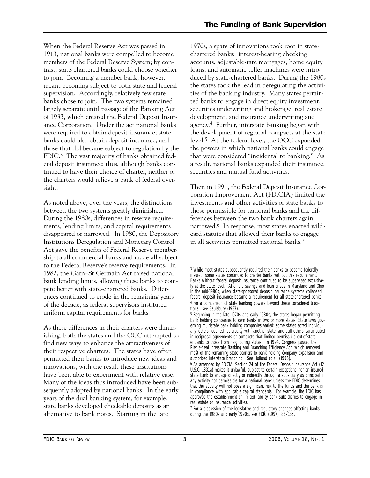When the Federal Reserve Act was passed in 1913, national banks were compelled to become members of the Federal Reserve System; by contrast, state-chartered banks could choose whether to join. Becoming a member bank, however, meant becoming subject to both state and federal supervision. Accordingly, relatively few state banks chose to join. The two systems remained largely separate until passage of the Banking Act of 1933, which created the Federal Deposit Insurance Corporation. Under the act national banks were required to obtain deposit insurance; state banks could also obtain deposit insurance, and those that did became subject to regulation by the FDIC.<sup>3</sup> The vast majority of banks obtained federal deposit insurance; thus, although banks continued to have their choice of charter, neither of the charters would relieve a bank of federal oversight.

As noted above, over the years, the distinctions between the two systems greatly diminished. During the 1980s, differences in reserve requirements, lending limits, and capital requirements disappeared or narrowed. In 1980, the Depository Institutions Deregulation and Monetary Control Act gave the benefits of Federal Reserve membership to all commercial banks and made all subject to the Federal Reserve's reserve requirements. In 1982, the Garn–St Germain Act raised national bank lending limits, allowing these banks to compete better with state-chartered banks. Differences continued to erode in the remaining years of the decade, as federal supervisors instituted uniform capital requirements for banks.

As these differences in their charters were diminishing, both the states and the OCC attempted to find new ways to enhance the attractiveness of their respective charters. The states have often permitted their banks to introduce new ideas and innovations, with the result these institutions have been able to experiment with relative ease. Many of the ideas thus introduced have been subsequently adopted by national banks. In the early years of the dual banking system, for example, state banks developed checkable deposits as an alternative to bank notes. Starting in the late

1970s, a spate of innovations took root in statechartered banks: interest-bearing checking accounts, adjustable-rate mortgages, home equity loans, and automatic teller machines were introduced by state-chartered banks. During the 1980s the states took the lead in deregulating the activities of the banking industry. Many states permitted banks to engage in direct equity investment, securities underwriting and brokerage, real estate development, and insurance underwriting and agency.4 Further, interstate banking began with the development of regional compacts at the state level.5 At the federal level, the OCC expanded the powers in which national banks could engage that were considered "incidental to banking." As a result, national banks expanded their insurance, securities and mutual fund activities.

Then in 1991, the Federal Deposit Insurance Corporation Improvement Act (FDICIA) limited the investments and other activities of state banks to those permissible for national banks and the differences between the two bank charters again narrowed.6 In response, most states enacted wildcard statutes that allowed their banks to engage in all activities permitted national banks.7

<sup>3</sup> While most states subsequently required their banks to become federally insured, some states continued to charter banks without this requirement. Banks without federal deposit insurance continued to be supervised exclusively at the state level. After the savings and loan crises in Maryland and Ohio in the mid-1980s, when state-sponsored deposit insurance systems collapsed, federal deposit insurance became a requirement for all state-chartered banks. 4 For a comparison of state banking powers beyond those considered traditional, see Saulsbury (1987).

<sup>5</sup> Beginning in the late 1970s and early 1980s, the states began permitting bank holding companies to own banks in two or more states. State laws governing multistate bank holding companies varied: some states acted individually, others required reciprocity with another state, and still others participated in reciprocal agreements or compacts that limited permissible out-of-state entrants to those from neighboring states. In 1994, Congress passed the Riegle-Neal Interstate Banking and Branching Efficiency Act, which removed most of the remaining state barriers to bank holding company expansion and authorized interstate branching. See Holland et al. (1996). 6 As amended by FDICIA, Section 24 of the Federal Deposit Insurance Act (12 U.S.C. 1831a) makes it unlawful, subject to certain exceptions, for an insured

state bank to engage directly or indirectly through a subsidiary as principal in any activity not permissible for a national bank unless the FDIC determines that the activity will not pose a significant risk to the funds and the bank is in compliance with applicable capital standards. For example, the FDIC has approved the establishment of limited-liability bank subsidiaries to engage in real estate or insurance activities.

<sup>7</sup> For a discussion of the legislative and regulatory changes affecting banks during the 1980s and early 1990s, see FDIC (1997), 88–135.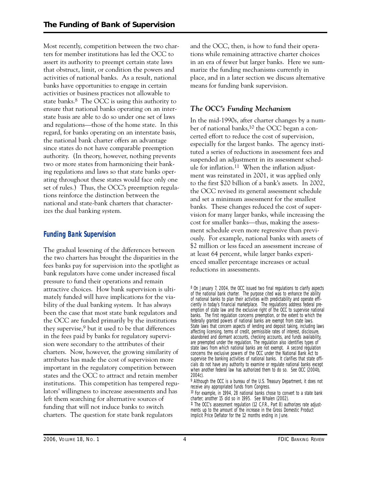authority. (In theory, however, nothing prevents Most recently, competition between the two charters for member institutions has led the OCC to assert its authority to preempt certain state laws that obstruct, limit, or condition the powers and activities of national banks. As a result, national banks have opportunities to engage in certain activities or business practices not allowable to state banks.8 The OCC is using this authority to ensure that national banks operating on an interstate basis are able to do so under one set of laws and regulations—those of the home state. In this regard, for banks operating on an interstate basis, the national bank charter offers an advantage since states do not have comparable preemption two or more states from harmonizing their banking regulations and laws so that state banks operating throughout these states would face only one set of rules.) Thus, the OCC's preemption regulations reinforce the distinction between the national and state-bank charters that characterizes the dual banking system.

# **Funding Bank Supervision**

The gradual lessening of the differences between the two charters has brought the disparities in the fees banks pay for supervision into the spotlight as bank regulators have come under increased fiscal pressure to fund their operations and remain attractive choices. How bank supervision is ultimately funded will have implications for the viability of the dual banking system. It has always been the case that most state bank regulators and the OCC are funded primarily by the institutions they supervise,  $9$  but it used to be that differences in the fees paid by banks for regulatory supervision were secondary to the attributes of their charters. Now, however, the growing similarity of attributes has made the cost of supervision more important in the regulatory competition between states and the OCC to attract and retain member institutions. This competition has tempered regulators' willingness to increase assessments and has left them searching for alternative sources of funding that will not induce banks to switch charters. The question for state bank regulators

and the OCC, then, is how to fund their operations while remaining attractive charter choices in an era of fewer but larger banks. Here we summarize the funding mechanisms currently in place, and in a later section we discuss alternative means for funding bank supervision.

# *The OCC's Funding Mechanism*

In the mid-1990s, after charter changes by a number of national banks,<sup>10</sup> the OCC began a concerted effort to reduce the cost of supervision, especially for the largest banks. The agency instituted a series of reductions in assessment fees and suspended an adjustment in its assessment schedule for inflation.11 When the inflation adjustment was reinstated in 2001, it was applied only to the first \$20 billion of a bank's assets. In 2002, the OCC revised its general assessment schedule and set a minimum assessment for the smallest banks. These changes reduced the cost of supervision for many larger banks, while increasing the cost for smaller banks—thus, making the assessment schedule even more regressive than previously. For example, national banks with assets of \$2 million or less faced an assessment increase of at least 64 percent, while larger banks experienced smaller percentage increases or actual reductions in assessments.

<sup>8</sup> On January 7, 2004, the OCC issued two final regulations to clarify aspects of the national bank charter. The purpose cited was to enhance the ability of national banks to plan their activities with predictability and operate efficiently in today's financial marketplace. The regulations address federal preemption of state law and the exclusive right of the OCC to supervise national banks. The first regulation concerns preemption, or the extent to which the federally granted powers of national banks are exempt from state laws. State laws that concern aspects of lending and deposit taking, including laws affecting licensing, terms of credit, permissible rates of interest, disclosure, abandoned and dormant accounts, checking accounts, and funds availability, are preempted under the regulation. The regulation also identifies types of state laws from which national banks are not exempt. A second regulation concerns the exclusive powers of the OCC under the National Bank Act to supervise the banking activities of national banks. It clarifies that state officials do not have any authority to examine or regulate national banks except when another federal law has authorized them to do so. See OCC (2004b, 2004c).

<sup>9</sup> Although the OCC is a bureau of the U.S. Treasury Department, it does not receive any appropriated funds from Congress.

<sup>10</sup> For example, in 1994, 28 national banks chose to convert to a state bank charter; another 15 did so in 1995. See Whalen (2002).

<sup>11</sup> The OCC's assessment regulation (12 C.F.R., Part 8) authorizes rate adjustments up to the amount of the increase in the Gross Domestic Product Implicit Price Deflator for the 12 months ending in June.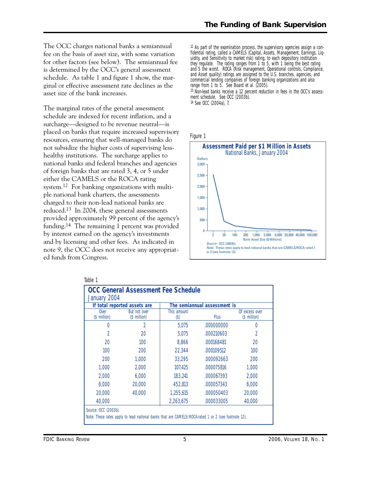The OCC charges national banks a semiannual fee on the basis of asset size, with some variation for other factors (see below). The semiannual fee is determined by the OCC's general assessment schedule. As table 1 and figure 1 show, the marginal or effective assessment rate declines as the asset size of the bank increases.

The marginal rates of the general assessment schedule are indexed for recent inflation, and a surcharge—designed to be revenue neutral—is placed on banks that require increased supervisory resources, ensuring that well-managed banks do not subsidize the higher costs of supervising lesshealthy institutions. The surcharge applies to national banks and federal branches and agencies of foreign banks that are rated 3, 4, or 5 under either the CAMELS or the ROCA rating system.12 For banking organizations with multiple national bank charters, the assessments charged to their non-lead national banks are reduced.13 In 2004, these general assessments provided approximately 99 percent of the agency's funding.14 The remaining 1 percent was provided by interest earned on the agency's investments and by licensing and other fees. As indicated in note 9, the OCC does not receive any appropriated funds from Congress.

 $12$  As part of the examination process, the supervisory agencies assign a confidential rating, called a CAMELS (Capital, Assets, Management, Earnings, Liquidity, and Sensitivity to market risk) rating, to each depository institution they regulate. The rating ranges from 1 to 5, with 1 being the best rating and 5 the worst. ROCA (Risk management, Operational controls, Compliance, and Asset quality) ratings are assigned to the U.S. branches, agencies, and commercial lending companies of foreign banking organizations and also range from 1 to 5. See Board et al. (2005). 13 Non-lead banks receive a 12 percent reduction in fees in the OCC's assessment schedule. See OCC (2003b).

14 See OCC (2004a), 7.





| January 2004                                                 | <b>OCC General Assessment Fee Schedule</b>                                                          |                     |             |                                |  |  |  |
|--------------------------------------------------------------|-----------------------------------------------------------------------------------------------------|---------------------|-------------|--------------------------------|--|--|--|
| The semiannual assessment is<br>If total reported assets are |                                                                                                     |                     |             |                                |  |  |  |
| <b>Over</b><br>(\$ million)                                  | But not over<br>(\$ million)                                                                        | This amount<br>(\$) | <b>Plus</b> | Of excess over<br>(\$ million) |  |  |  |
| 0                                                            | 2                                                                                                   | 5.075               | .000000000  | 0                              |  |  |  |
| $\mathfrak{D}$                                               | 20                                                                                                  | 5.075               | .000210603  | $\mathfrak{D}$                 |  |  |  |
| 20                                                           | 100                                                                                                 | 8,866               | .000168481  | 20                             |  |  |  |
| 100 <sup>°</sup>                                             | 200                                                                                                 | 22,344              | .000109512  | 100                            |  |  |  |
| 200                                                          | 1.000                                                                                               | 33,295              | .000092663  | 200                            |  |  |  |
| 1.000                                                        | 2,000                                                                                               | 107.425             | .000075816  | 1.000                          |  |  |  |
| 2,000                                                        | 6,000                                                                                               | 183,241             | .000067393  | 2,000                          |  |  |  |
| 6,000                                                        | 20,000                                                                                              | 452,813             | .000057343  | 6,000                          |  |  |  |
| 20,000                                                       | 40,000                                                                                              | 1,255,615           | .000050403  | 20,000                         |  |  |  |
| 40,000                                                       |                                                                                                     | 2,263,675           | .000033005  | 40,000                         |  |  |  |
| Source: OCC (2003b).                                         | Note: These rates apply to lead national banks that are CAMELS/ROCA-rated 1 or 2 (see footnote 12). |                     |             |                                |  |  |  |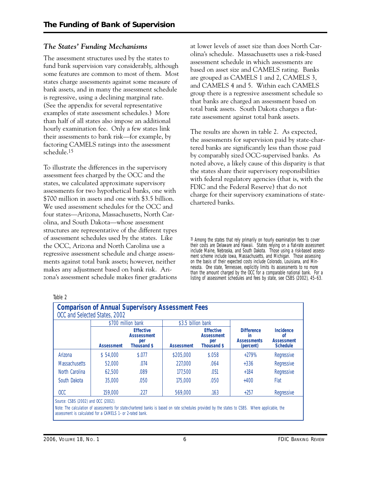# *The States' Funding Mechanisms*

The assessment structures used by the states to fund bank supervision vary considerably, although some features are common to most of them. Most states charge assessments against some measure of bank assets, and in many the assessment schedule is regressive, using a declining marginal rate. (See the appendix for several representative examples of state assessment schedules.) More than half of all states also impose an additional hourly examination fee. Only a few states link their assessments to bank risk—for example, by factoring CAMELS ratings into the assessment schedule.15

To illustrate the differences in the supervisory assessment fees charged by the OCC and the states, we calculated approximate supervisory assessments for two hypothetical banks, one with \$700 million in assets and one with \$3.5 billion. We used assessment schedules for the OCC and four states—Arizona, Massachusetts, North Carolina, and South Dakota—whose assessment structures are representative of the different types of assessment schedules used by the states. Like the OCC, Arizona and North Carolina use a regressive assessment schedule and charge assessments against total bank assets; however, neither makes any adjustment based on bank risk. Arizona's assessment schedule makes finer gradations at lower levels of asset size than does North Carolina's schedule. Massachusetts uses a risk-based assessment schedule in which assessments are based on asset size and CAMELS rating. Banks are grouped as CAMELS 1 and 2, CAMELS 3, and CAMELS 4 and 5. Within each CAMELS group there is a regressive assessment schedule so that banks are charged an assessment based on total bank assets. South Dakota charges a flatrate assessment against total bank assets.

The results are shown in table 2. As expected, the assessments for supervision paid by state-chartered banks are significantly less than those paid by comparably sized OCC-supervised banks. As noted above, a likely cause of this disparity is that the states share their supervisory responsibilities with federal regulatory agencies (that is, with the FDIC and the Federal Reserve) that do not charge for their supervisory examinations of statechartered banks.

<sup>15</sup> Among the states that rely primarily on hourly examination fees to cover their costs are Delaware and Hawaii. States relying on a flat-rate assessment include Maine, Nebraska, and South Dakota. Those using a risk-based assessment scheme include Iowa, Massachusetts, and Michigan. Those assessing on the basis of their expected costs include Colorado, Louisiana, and Minnesota. One state, Tennessee, explicitly limits its assessments to no more than the amount charged by the OCC for a comparable national bank. For a listing of assessment schedules and fees by state, see CSBS (2002), 45–63.

| <b>Comparison of Annual Supervisory Assessment Fees</b><br>OCC and Selected States, 2002                                                                                                                                                            |                   |                                                                     |                    |                                                                    |                                                            |                                                                           |  |
|-----------------------------------------------------------------------------------------------------------------------------------------------------------------------------------------------------------------------------------------------------|-------------------|---------------------------------------------------------------------|--------------------|--------------------------------------------------------------------|------------------------------------------------------------|---------------------------------------------------------------------------|--|
|                                                                                                                                                                                                                                                     |                   | \$700 million bank                                                  | \$3.5 billion bank |                                                                    |                                                            |                                                                           |  |
|                                                                                                                                                                                                                                                     | <b>Assessment</b> | <b>Effective</b><br><b>Asssessment</b><br>per<br><b>Thousand \$</b> | <b>Assessment</b>  | <b>Effective</b><br><b>Assessment</b><br>per<br><b>Thousand \$</b> | <b>Difference</b><br>in<br><b>Assessments</b><br>(percent) | <b>Incidence</b><br><sub>of</sub><br><b>Assessment</b><br><b>Schedule</b> |  |
| Arizona                                                                                                                                                                                                                                             | \$54,000          | \$.077                                                              | \$205,000          | \$.058                                                             | $+279%$                                                    | Regressive                                                                |  |
| <b>Massachusetts</b>                                                                                                                                                                                                                                | 52,000            | .074                                                                | 227,000            | .064                                                               | $+336$                                                     | Regressive                                                                |  |
| North Carolina                                                                                                                                                                                                                                      | 62.500            | .089                                                                | 177,500            | .051                                                               | $+184$                                                     | Regressive                                                                |  |
| South Dakota                                                                                                                                                                                                                                        | 35,000            | .050                                                                | 175,000            | .050                                                               | $+400$                                                     | Flat                                                                      |  |
| OCC                                                                                                                                                                                                                                                 | 159,000           | .227                                                                | 569,000            | .163                                                               | $+257$                                                     | Regressive                                                                |  |
| Source: CSBS (2002) and OCC (2002).<br>Note: The calculation of assessments for state-chartered banks is based on rate schedules provided by the states to CSBS. Where applicable, the<br>assessment is calculated for a CAMELS 1- or 2-rated bank. |                   |                                                                     |                    |                                                                    |                                                            |                                                                           |  |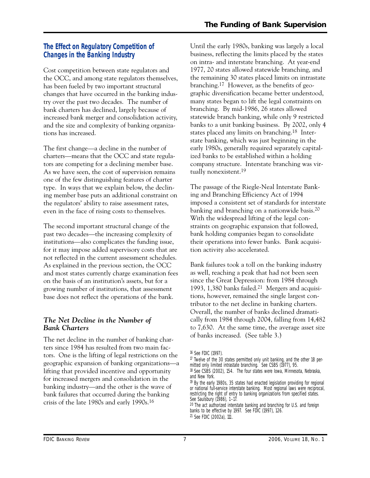# **The Effect on Regulatory Competition of Changes in the Banking Industry**

Cost competition between state regulators and the OCC, and among state regulators themselves, has been fueled by two important structural changes that have occurred in the banking industry over the past two decades. The number of bank charters has declined, largely because of increased bank merger and consolidation activity, and the size and complexity of banking organizations has increased.

The first change—a decline in the number of charters—means that the OCC and state regulators are competing for a declining member base. As we have seen, the cost of supervision remains one of the few distinguishing features of charter type. In ways that we explain below, the declining member base puts an additional constraint on the regulators' ability to raise assessment rates, even in the face of rising costs to themselves.

The second important structural change of the past two decades—the increasing complexity of institutions—also complicates the funding issue, for it may impose added supervisory costs that are not reflected in the current assessment schedules. As explained in the previous section, the OCC and most states currently charge examination fees on the basis of an institution's assets, but for a growing number of institutions, that assessment base does not reflect the operations of the bank.

# *The Net Decline in the Number of Bank Charters*

The net decline in the number of banking charters since 1984 has resulted from two main factors. One is the lifting of legal restrictions on the geographic expansion of banking organizations—a lifting that provided incentive and opportunity for increased mergers and consolidation in the banking industry—and the other is the wave of bank failures that occurred during the banking crisis of the late 1980s and early 1990s.16

Until the early 1980s, banking was largely a local business, reflecting the limits placed by the states on intra- and interstate branching. At year-end 1977, 20 states allowed statewide branching, and the remaining 30 states placed limits on intrastate branching.17 However, as the benefits of geographic diversification became better understood, many states began to lift the legal constraints on branching. By mid-1986, 26 states allowed statewide branch banking, while only 9 restricted banks to a unit banking business. By 2002, only 4 states placed any limits on branching.18 Interstate banking, which was just beginning in the early 1980s, generally required separately capitalized banks to be established within a holding company structure. Interstate branching was virtually nonexistent.19

The passage of the Riegle-Neal Interstate Banking and Branching Efficiency Act of 1994 imposed a consistent set of standards for interstate banking and branching on a nationwide basis.20 With the widespread lifting of the legal constraints on geographic expansion that followed, bank holding companies began to consolidate their operations into fewer banks. Bank acquisition activity also accelerated.

Bank failures took a toll on the banking industry as well, reaching a peak that had not been seen since the Great Depression: from 1984 through 1993, 1,380 banks failed.21 Mergers and acquisitions, however, remained the single largest contributor to the net decline in banking charters. Overall, the number of banks declined dramatically from 1984 through 2004, falling from 14,482 to 7,630. At the same time, the average asset size of banks increased. (See table 3.)

<sup>16</sup> See FDIC (1997).

 $17$  Twelve of the 30 states permitted only unit banking, and the other 18 permitted only limited intrastate branching. See CSBS (1977), 95.

<sup>18</sup> See CSBS (2002), 154. The four states were Iowa, Minnesota, Nebraska, and New York.

<sup>19</sup> By the early 1980s, 35 states had enacted legislation providing for regional or national full-service interstate banking. Most regional laws were reciprocal, restricting the right of entry to banking organizations from specified states. See Saulsbury (1986), 1-17.

<sup>&</sup>lt;sup>20</sup> The act authorized interstate banking and branching for U.S. and foreign banks to be effective by 1997. See FDIC (1997), 126. 21 See FDIC (2002a), 111.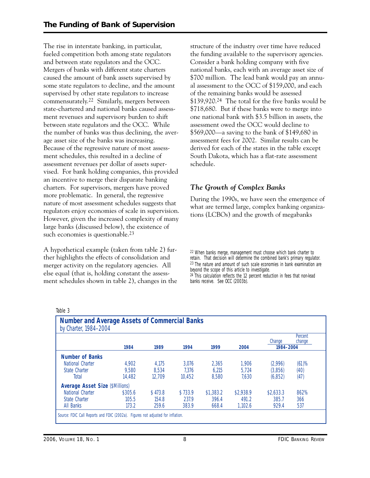The rise in interstate banking, in particular, fueled competition both among state regulators and between state regulators and the OCC. Mergers of banks with different state charters caused the amount of bank assets supervised by some state regulators to decline, and the amount supervised by other state regulators to increase commensurately.22 Similarly, mergers between state-chartered and national banks caused assessment revenues and supervisory burden to shift between state regulators and the OCC. While the number of banks was thus declining, the average asset size of the banks was increasing. Because of the regressive nature of most assessment schedules, this resulted in a decline of assessment revenues per dollar of assets supervised. For bank holding companies, this provided an incentive to merge their disparate banking charters. For supervisors, mergers have proved more problematic. In general, the regressive nature of most assessment schedules suggests that regulators enjoy economies of scale in supervision. However, given the increased complexity of many large banks (discussed below), the existence of such economies is questionable.<sup>23</sup>

A hypothetical example (taken from table 2) further highlights the effects of consolidation and merger activity on the regulatory agencies. All else equal (that is, holding constant the assessment schedules shown in table 2), changes in the structure of the industry over time have reduced the funding available to the supervisory agencies. Consider a bank holding company with five national banks, each with an average asset size of \$700 million. The lead bank would pay an annual assessment to the OCC of \$159,000, and each of the remaining banks would be assessed \$139,920.<sup>24</sup> The total for the five banks would be \$718,680. But if these banks were to merge into one national bank with \$3.5 billion in assets, the assessment owed the OCC would decline to \$569,000—a saving to the bank of \$149,680 in assessment fees for 2002. Similar results can be derived for each of the states in the table except South Dakota, which has a flat-rate assessment schedule.

# *The Growth of Complex Banks*

During the 1990s, we have seen the emergence of what are termed large, complex banking organizations (LCBOs) and the growth of megabanks

22 When banks merge, management must choose which bank charter to retain. That decision will determine the combined bank's primary regulator. 23 The nature and amount of such scale economies in bank examination are beyond the scope of this article to investigate. 24 This calculation reflects the 12 percent reduction in fees that non-lead banks receive. See OCC (2003b).

|                                        |         |         |         |           |           | Change    | Percent<br>change |
|----------------------------------------|---------|---------|---------|-----------|-----------|-----------|-------------------|
|                                        | 1984    | 1989    | 1994    | 1999      | 2004      | 1984-2004 |                   |
| <b>Number of Banks</b>                 |         |         |         |           |           |           |                   |
| National Charter                       | 4.902   | 4.175   | 3.076   | 2.365     | 1.906     | (2,996)   | (61)%             |
| State Charter                          | 9.580   | 8.534   | 7.376   | 6.215     | 5.724     | (3,856)   | (40)              |
| Total                                  | 14.482  | 12.709  | 10.452  | 8.580     | 7.630     | (6, 852)  | (47)              |
| <b>Average Asset Size (\$Millions)</b> |         |         |         |           |           |           |                   |
| National Charter                       | \$305.6 | \$473.8 | \$733.9 | \$1,383.2 | \$2,938.9 | \$2,633.3 | 862%              |
| State Charter                          | 105.5   | 154.8   | 237.9   | 396.4     | 491.2     | 385.7     | 366               |
| All Banks                              | 173.2   | 259.6   | 383.9   | 668.4     | 1,102.6   | 929.4     | 537               |

Table 3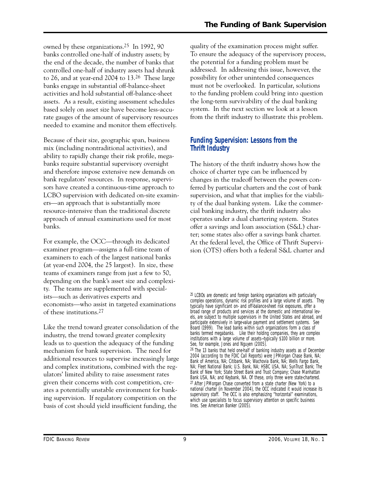owned by these organizations.25 In 1992, 90 banks controlled one-half of industry assets; by the end of the decade, the number of banks that controlled one-half of industry assets had shrunk to 26, and at year-end 2004 to 13.26 These large banks engage in substantial off-balance-sheet activities and hold substantial off-balance-sheet assets. As a result, existing assessment schedules based solely on asset size have become less-accurate gauges of the amount of supervisory resources needed to examine and monitor them effectively.

Because of their size, geographic span, business mix (including nontraditional activities), and ability to rapidly change their risk profile, megabanks require substantial supervisory oversight and therefore impose extensive new demands on bank regulators' resources. In response, supervisors have created a continuous-time approach to LCBO supervision with dedicated on-site examiners—an approach that is substantially more resource-intensive than the traditional discrete approach of annual examinations used for most banks.

For example, the OCC—through its dedicated examiner program—assigns a full-time team of examiners to each of the largest national banks (at year-end 2004, the 25 largest). In size, these teams of examiners range from just a few to 50, depending on the bank's asset size and complexity. The teams are supplemented with specialists—such as derivatives experts and economists—who assist in targeted examinations of these institutions.27

Like the trend toward greater consolidation of the industry, the trend toward greater complexity leads us to question the adequacy of the funding mechanism for bank supervision. The need for additional resources to supervise increasingly large and complex institutions, combined with the regulators' limited ability to raise assessment rates given their concerns with cost competition, creates a potentially unstable environment for banking supervision. If regulatory competition on the basis of cost should yield insufficient funding, the

quality of the examination process might suffer. To ensure the adequacy of the supervisory process, the potential for a funding problem must be addressed. In addressing this issue, however, the possibility for other unintended consequences must not be overlooked. In particular, solutions to the funding problem could bring into question the long-term survivability of the dual banking system. In the next section we look at a lesson from the thrift industry to illustrate this problem.

# **Funding Supervision: Lessons from the Thrift Industry**

The history of the thrift industry shows how the choice of charter type can be influenced by changes in the tradeoff between the powers conferred by particular charters and the cost of bank supervision, and what that implies for the viability of the dual banking system. Like the commercial banking industry, the thrift industry also operates under a dual chartering system. States offer a savings and loan association (S&L) charter; some states also offer a savings bank charter. At the federal level, the Office of Thrift Supervision (OTS) offers both a federal S&L charter and

<sup>25</sup> LCBOs are domestic and foreign banking organizations with particularly complex operations, dynamic risk profiles and a large volume of assets. They typically have significant on- and off-balance-sheet risk exposures, offer a broad range of products and services at the domestic and international levels, are subject to multiple supervisors in the United States and abroad, and participate extensively in large-value payment and settlement systems. See Board (1999). The lead banks within such organizations form a class of banks termed megabanks. Like their holding companies, they are complex institutions with a large volume of assets—typically \$100 billion or more. See, for example, Jones and Nguyen (2005).

<sup>26</sup> The 13 banks that held one-half of banking industry assets as of December 2004 (according to the FDIC Call Reports) were JPMorgan Chase Bank, NA; Bank of America, NA; Citibank, NA; Wachovia Bank, NA; Wells Fargo Bank, NA; Fleet National Bank; U.S. Bank, NA; HSBC USA, NA; SunTrust Bank; The Bank of New York; State Street Bank and Trust Company; Chase Manhattan Bank USA, NA; and Keybank, NA. Of these, only three were state-chartered.  $27$  After JPMorgan Chase converted from a state charter (New York) to a national charter (in November 2004), the OCC indicated it would increase its supervisory staff. The OCC is also emphasizing "horizontal" examinations, which use specialists to focus supervisory attention on specific business lines. See *American Banker* (2005).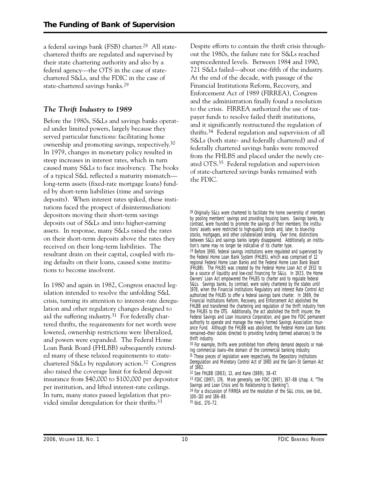a federal savings bank (FSB) charter.28 All statechartered thrifts are regulated and supervised by their state chartering authority and also by a federal agency—the OTS in the case of statechartered S&Ls, and the FDIC in the case of state-chartered savings banks.29

# *The Thrift Industry to 1989*

Before the 1980s, S&Ls and savings banks operated under limited powers, largely because they served particular functions: facilitating home ownership and promoting savings, respectively.30 In 1979, changes in monetary policy resulted in steep increases in interest rates, which in turn caused many S&Ls to face insolvency. The books of a typical S&L reflected a maturity mismatch long-term assets (fixed-rate mortgage loans) funded by short-term liabilities (time and savings deposits). When interest rates spiked, these institutions faced the prospect of disintermediation: depositors moving their short-term savings deposits out of S&Ls and into higher-earning assets. In response, many S&Ls raised the rates on their short-term deposits above the rates they received on their long-term liabilities. The resultant drain on their capital, coupled with rising defaults on their loans, caused some institutions to become insolvent.

In 1980 and again in 1982, Congress enacted legislation intended to resolve the unfolding S&L crisis, turning its attention to interest-rate deregulation and other regulatory changes designed to aid the suffering industry.31 For federally chartered thrifts, the requirements for net worth were lowered, ownership restrictions were liberalized, and powers were expanded. The Federal Home Loan Bank Board (FHLBB) subsequently extended many of these relaxed requirements to statechartered S&Ls by regulatory action.32 Congress also raised the coverage limit for federal deposit insurance from \$40,000 to \$100,000 per depositor per institution, and lifted interest-rate ceilings. In turn, many states passed legislation that provided similar deregulation for their thrifts.33

Despite efforts to contain the thrift crisis throughout the 1980s, the failure rate for S&Ls reached unprecedented levels. Between 1984 and 1990, 721 S&Ls failed—about one-fifth of the industry. At the end of the decade, with passage of the Financial Institutions Reform, Recovery, and Enforcement Act of 1989 (FIRREA), Congress and the administration finally found a resolution to the crisis. FIRREA authorized the use of taxpayer funds to resolve failed thrift institutions, and it significantly restructured the regulation of thrifts.34 Federal regulation and supervision of all S&Ls (both state- and federally chartered) and of federally chartered savings banks were removed from the FHLBS and placed under the newly created OTS.35 Federal regulation and supervision of state-chartered savings banks remained with the FDIC.

 authorized the FHLBS to offer a federal savings bank charter. In 1989, the the FHLBS to the OTS. Additionally, the act abolished the thrift insurer, the 28 Originally S&Ls were chartered to facilitate the home ownership of members by pooling members' savings and providing housing loans. Savings banks, by contrast, were founded to promote the savings of their members; the institutions' assets were restricted to high-quality bonds and, later, to blue-chip stocks, mortgages, and other collateralized lending. Over time, distinctions between S&Ls and savings banks largely disappeared. Additionally, an institution's name may no longer be indicative of its charter type. 29 Before 1990, federal savings institutions were regulated and supervised by the Federal Home Loan Bank System (FHLBS), which was comprised of 12 regional Federal Home Loan Banks and the Federal Home Loan Bank Board (FHLBB). The FHLBS was created by the Federal Home Loan Act of 1932 to be a source of liquidity and low-cost financing for S&Ls. In 1933, the Home Owners' Loan Act empowered the FHLBS to charter and to regulate federal S&Ls. Savings banks, by contrast, were solely chartered by the states until 1978, when the Financial Institutions Regulatory and Interest Rate Control Act Financial Institutions Reform, Recovery, and Enforcement Act abolished the FHLBB and transferred the chartering and regulation of the thrift industry from Federal Savings and Loan Insurance Corporation, and gave the FDIC permanent authority to operate and manage the newly formed Savings Association Insurance Fund. Although the FHLBB was abolished, the Federal Home Loan Banks remained—their duties directed to providing funding (termed advances) to the thrift industry.

30 For example, thrifts were prohibited from offering demand deposits or making commercial loans—the domain of the commercial banking industry. <sup>31</sup> These pieces of legislation were respectively, the Depository Institutions Deregulation and Monetary Control Act of 1980 and the Garn–St Germain Act of 1982.

32 See FHLBB (1983), 13, and Kane (1989), 38–47.

33 FDIC (1997), 176. More generally, see FDIC (1997), 167–88 (chap. 4, "The Savings and Loan Crisis and Its Relationship to Banking").

34 For a discussion of FIRREA and the resolution of the S&L crisis, see ibid., 100–110 and 186–88.

35 Ibid., 170–72.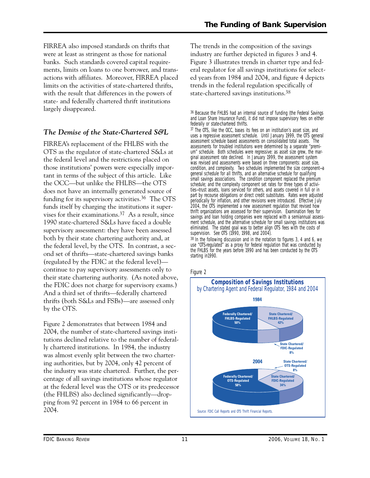FIRREA also imposed standards on thrifts that were at least as stringent as those for national banks. Such standards covered capital requirements, limits on loans to one borrower, and transactions with affiliates. Moreover, FIRREA placed limits on the activities of state-chartered thrifts, with the result that differences in the powers of state- and federally chartered thrift institutions largely disappeared.

# *The Demise of the State-Chartered S&L*

FIRREA's replacement of the FHLBS with the OTS as the regulator of state-chartered S&Ls at the federal level and the restrictions placed on those institutions' powers were especially important in terms of the subject of this article. Like the OCC—but unlike the FHLBS—the OTS does not have an internally generated source of funding for its supervisory activities.36 The OTS funds itself by charging the institutions it supervises for their examinations.37 As a result, since 1990 state-chartered S&Ls have faced a double supervisory assessment: they have been assessed both by their state chartering authority and, at the federal level, by the OTS. In contrast, a second set of thrifts—state-chartered savings banks (regulated by the FDIC at the federal level) continue to pay supervisory assessments only to their state chartering authority. (As noted above, the FDIC does not charge for supervisory exams.) And a third set of thrifts—federally chartered thrifts (both S&Ls and FSBs)—are assessed only by the OTS.

Figure 2 demonstrates that between 1984 and 2004, the number of state-chartered savings institutions declined relative to the number of federally chartered institutions. In 1984, the industry was almost evenly split between the two chartering authorities, but by 2004, only 42 percent of the industry was state chartered. Further, the percentage of all savings institutions whose regulator at the federal level was the OTS or its predecessor (the FHLBS) also declined significantly—dropping from 92 percent in 1984 to 66 percent in 2004.

The trends in the composition of the savings industry are further depicted in figures 3 and 4. Figure 3 illustrates trends in charter type and federal regulator for all savings institutions for selected years from 1984 and 2004, and figure 4 depicts trends in the federal regulation specifically of state-chartered savings institutions.38

36 Because the FHLBS had an internal source of funding (the Federal Savings and Loan Share Insurance Fund), it did not impose supervisory fees on either federally or state-chartered thrifts.

 condition, and complexity. Two schedules implemented the size component—a 37 The OTS, like the OCC, bases its fees on an institution's asset size, and uses a regressive assessment schedule. Until January 1999, the OTS general assessment schedule based assessments on consolidated total assets. The assessments for troubled institutions were determined by a separate "premium" schedule. Both schedules were regressive: as asset size grew, the marginal assessment rate declined. In January 1999, the assessment system was revised and assessments were based on three components: asset size, general schedule for all thrifts, and an alternative schedule for qualifying small savings associations. The condition component replaced the premium schedule; and the complexity component set rates for three types of activities—trust assets, loans serviced for others, and assets covered in full or in part by recourse obligations or direct credit substitutes. Rates were adjusted periodically for inflation, and other revisions were introduced. Effective July 2004, the OTS implemented a new assessment regulation that revised how thrift organizations are assessed for their supervision. Examination fees for savings and loan holding companies were replaced with a semiannual assessment schedule, and the alternative schedule for small savings institutions was eliminated. The stated goal was to better align OTS fees with the costs of supervision. See OTS (1990, 1998, and 2004). 38 In the following discussion and in the notation to figures 3, 4 and 6, we

use "OTS-regulated" as a proxy for federal regulation that was conducted by the FHLBS for the years before 1990 and has been conducted by the OTS starting in1990.

#### Figure 2

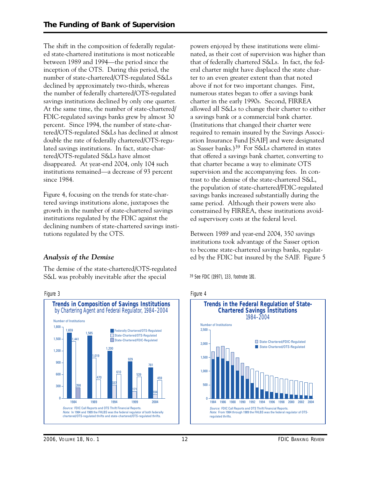The shift in the composition of federally regulated state-chartered institutions is most noticeable between 1989 and 1994—the period since the inception of the OTS. During this period, the number of state-chartered/OTS-regulated S&Ls declined by approximately two-thirds, whereas the number of federally chartered/OTS-regulated savings institutions declined by only one quarter. At the same time, the number of state-chartered/ FDIC-regulated savings banks grew by almost 30 percent. Since 1994, the number of state-chartered/OTS-regulated S&Ls has declined at almost double the rate of federally chartered/OTS-regulated savings institutions. In fact, state-chartered/OTS-regulated S&Ls have almost disappeared. At year-end 2004, only 104 such institutions remained—a decrease of 93 percent since 1984.

Figure 4, focusing on the trends for state-chartered savings institutions alone, juxtaposes the growth in the number of state-chartered savings institutions regulated by the FDIC against the declining numbers of state-chartered savings institutions regulated by the OTS.

# *Analysis of the Demise*

The demise of the state-chartered/OTS-regulated S&L was probably inevitable after the special



Figure 3

powers enjoyed by these institutions were eliminated, as their cost of supervision was higher than that of federally chartered S&Ls. In fact, the federal charter might have displaced the state charter to an even greater extent than that noted above if not for two important changes. First, numerous states began to offer a savings bank charter in the early 1990s. Second, FIRREA allowed all S&Ls to change their charter to either a savings bank or a commercial bank charter. (Institutions that changed their charter were required to remain insured by the Savings Association Insurance Fund [SAIF] and were designated as Sasser banks.)39 For S&Ls chartered in states that offered a savings bank charter, converting to that charter became a way to eliminate OTS supervision and the accompanying fees. In contrast to the demise of the state-chartered S&L, the population of state-chartered/FDIC-regulated savings banks increased substantially during the same period. Although their powers were also constrained by FIRREA, these institutions avoided supervisory costs at the federal level.

Between 1989 and year-end 2004, 350 savings institutions took advantage of the Sasser option to become state-chartered savings banks, regulated by the FDIC but insured by the SAIF. Figure 5

39 See FDIC (1997), 133, footnote 181.





*2006, VOLUME 18, NO. 1* 12 *FDIC BANKING REVIEW*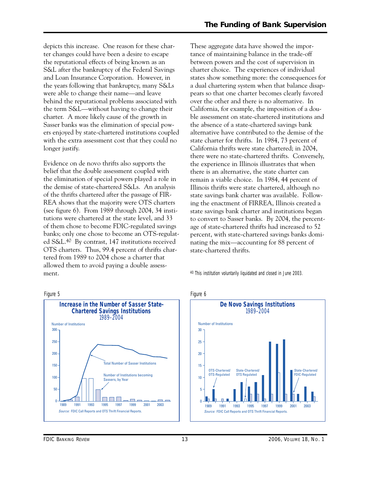charter. A more likely cause of the growth in depicts this increase. One reason for these charter changes could have been a desire to escape the reputational effects of being known as an S&L after the bankruptcy of the Federal Savings and Loan Insurance Corporation. However, in the years following that bankruptcy, many S&Ls were able to change their name—and leave behind the reputational problems associated with the term S&L—without having to change their Sasser banks was the elimination of special powers enjoyed by state-chartered institutions coupled with the extra assessment cost that they could no longer justify.

Evidence on de novo thrifts also supports the belief that the double assessment coupled with the elimination of special powers played a role in the demise of state-chartered S&Ls. An analysis of the thrifts chartered after the passage of FIR-REA shows that the majority were OTS charters (see figure 6). From 1989 through 2004, 34 institutions were chartered at the state level, and 33 of them chose to become FDIC-regulated savings banks; only one chose to become an OTS-regulated S&L.40 By contrast, 147 institutions received OTS charters. Thus, 99.4 percent of thrifts chartered from 1989 to 2004 chose a charter that allowed them to avoid paying a double assessment.



These aggregate data have showed the importance of maintaining balance in the trade-off between powers and the cost of supervision in charter choice. The experiences of individual states show something more: the consequences for a dual chartering system when that balance disappears so that one charter becomes clearly favored over the other and there is no alternative. In California, for example, the imposition of a double assessment on state-chartered institutions and the absence of a state-chartered savings bank alternative have contributed to the demise of the state charter for thrifts. In 1984, 73 percent of California thrifts were state chartered; in 2004, there were no state-chartered thrifts. Conversely, the experience in Illinois illustrates that when there is an alternative, the state charter can remain a viable choice. In 1984, 44 percent of Illinois thrifts were state chartered, although no state savings bank charter was available. Following the enactment of FIRREA, Illinois created a state savings bank charter and institutions began to convert to Sasser banks. By 2004, the percentage of state-chartered thrifts had increased to 52 percent, with state-chartered savings banks dominating the mix—accounting for 88 percent of state-chartered thrifts.

40 This institution voluntarily liquidated and closed in June 2003.

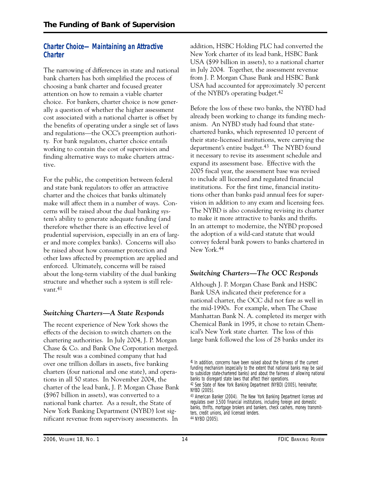# **Charter Choice—Maintaining an Attractive Charter**

The narrowing of differences in state and national bank charters has both simplified the process of choosing a bank charter and focused greater attention on how to remain a viable charter choice. For bankers, charter choice is now generally a question of whether the higher assessment cost associated with a national charter is offset by the benefits of operating under a single set of laws and regulations—the OCC's preemption authority. For bank regulators, charter choice entails working to contain the cost of supervision and finding alternative ways to make charters attractive.

For the public, the competition between federal and state bank regulators to offer an attractive charter and the choices that banks ultimately make will affect them in a number of ways. Concerns will be raised about the dual banking system's ability to generate adequate funding (and therefore whether there is an effective level of prudential supervision, especially in an era of larger and more complex banks). Concerns will also be raised about how consumer protection and other laws affected by preemption are applied and enforced. Ultimately, concerns will be raised about the long-term viability of the dual banking structure and whether such a system is still relevant.41

# *Switching Charters—A State Responds*

The recent experience of New York shows the effects of the decision to switch charters on the chartering authorities. In July 2004, J. P. Morgan Chase & Co. and Bank One Corporation merged. The result was a combined company that had over one trillion dollars in assets, five banking charters (four national and one state), and operations in all 50 states. In November 2004, the charter of the lead bank, J. P. Morgan Chase Bank (\$967 billion in assets), was converted to a national bank charter. As a result, the State of New York Banking Department (NYBD) lost significant revenue from supervisory assessments. In

addition, HSBC Holding PLC had converted the New York charter of its lead bank, HSBC Bank USA (\$99 billion in assets), to a national charter in July 2004. Together, the assessment revenue from J. P. Morgan Chase Bank and HSBC Bank USA had accounted for approximately 30 percent of the NYBD's operating budget.42

Before the loss of these two banks, the NYBD had already been working to change its funding mechanism. An NYBD study had found that statechartered banks, which represented 10 percent of their state-licensed institutions, were carrying the department's entire budget.43 The NYBD found it necessary to revise its assessment schedule and expand its assessment base. Effective with the 2005 fiscal year, the assessment base was revised to include all licensed and regulated financial institutions. For the first time, financial institutions other than banks paid annual fees for supervision in addition to any exam and licensing fees. The NYBD is also considering revising its charter to make it more attractive to banks and thrifts. In an attempt to modernize, the NYBD proposed the adoption of a wild-card statute that would convey federal bank powers to banks chartered in New York.44

# *Switching Charters—The OCC Responds*

Although J. P. Morgan Chase Bank and HSBC Bank USA indicated their preference for a national charter, the OCC did not fare as well in the mid-1990s. For example, when The Chase Manhattan Bank N. A. completed its merger with Chemical Bank in 1995, it chose to retain Chemical's New York state charter. The loss of this large bank followed the loss of 28 banks under its

<sup>41</sup> In addition, concerns have been raised about the fairness of the current funding mechanism (especially to the extent that national banks may be said to subsidize state-chartered banks) and about the fairness of allowing national banks to disregard state laws that affect their operations.

<sup>42</sup> See State of New York Banking Department (NYBD) (2005), hereinafter, NYBD (2005).

<sup>43</sup> *American Banker* (2004). The New York Banking Department licenses and regulates over 3,500 financial institutions, including foreign and domestic banks, thrifts, mortgage brokers and bankers, check cashers, money transmitters, credit unions, and licensed lenders. 44 NYBD (2005).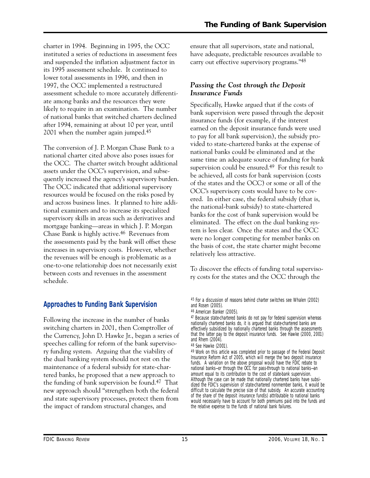charter in 1994. Beginning in 1995, the OCC instituted a series of reductions in assessment fees and suspended the inflation adjustment factor in its 1995 assessment schedule. It continued to lower total assessments in 1996, and then in 1997, the OCC implemented a restructured assessment schedule to more accurately differentiate among banks and the resources they were likely to require in an examination. The number of national banks that switched charters declined after 1994, remaining at about 10 per year, until 2001 when the number again jumped.45

The conversion of J. P. Morgan Chase Bank to a national charter cited above also poses issues for the OCC. The charter switch brought additional assets under the OCC's supervision, and subsequently increased the agency's supervisory burden. The OCC indicated that additional supervisory resources would be focused on the risks posed by and across business lines. It planned to hire additional examiners and to increase its specialized supervisory skills in areas such as derivatives and mortgage banking—areas in which J. P. Morgan Chase Bank is highly active.46 Revenues from the assessments paid by the bank will offset these increases in supervisory costs. However, whether the revenues will be enough is problematic as a one-to-one relationship does not necessarily exist between costs and revenues in the assessment schedule.

# **Approaches to Funding Bank Supervision**

Following the increase in the number of banks switching charters in 2001, then Comptroller of the Currency, John D. Hawke Jr., began a series of speeches calling for reform of the bank supervisory funding system. Arguing that the viability of the dual banking system should not rest on the maintenance of a federal subsidy for state-chartered banks, he proposed that a new approach to the funding of bank supervision be found.47 That new approach should "strengthen both the federal and state supervisory processes, protect them from the impact of random structural changes, and

ensure that all supervisors, state and national, have adequate, predictable resources available to carry out effective supervisory programs."48

# *Passing the Cost through the Deposit Insurance Funds*

Specifically, Hawke argued that if the costs of bank supervision were passed through the deposit insurance funds (for example, if the interest earned on the deposit insurance funds were used to pay for all bank supervision), the subsidy provided to state-chartered banks at the expense of national banks could be eliminated and at the same time an adequate source of funding for bank supervision could be ensured.49 For this result to be achieved, all costs for bank supervision (costs of the states and the OCC) or some or all of the OCC's supervisory costs would have to be covered. In either case, the federal subsidy (that is, the national-bank subsidy) to state-chartered banks for the cost of bank supervision would be eliminated. The effect on the dual banking system is less clear. Once the states and the OCC were no longer competing for member banks on the basis of cost, the state charter might become relatively less attractive.

To discover the effects of funding total supervisory costs for the states and the OCC through the

<sup>45</sup> For a discussion of reasons behind charter switches see Whalen (2002) and Rosen (2005).

<sup>46</sup> *American Banker* (2005).

<sup>47</sup> Because state-chartered banks do not pay for federal supervision whereas nationally chartered banks do, it is argued that state-chartered banks are effectively subsidized by nationally chartered banks through the assessments that the latter pay to the deposit insurance funds. See Hawke (2000, 2001) and Rhem (2004).

<sup>48</sup> See Hawke (2001).

<sup>&</sup>lt;sup>49</sup> Work on this article was completed prior to passage of the Federal Deposit Insurance Reform Act of 2005, which will merge the two deposit insurance funds. A variation on the above proposal would have the FDIC rebate to national banks—or through the OCC for pass-through to national banks—an amount equal to its contribution to the cost of state-bank supervision. Although the case can be made that nationally chartered banks have subsidized the FDIC's supervision of state-chartered nonmember banks, it would be difficult to calculate the precise size of that subsidy. An accurate accounting of the share of the deposit insurance fund(s) attributable to national banks would necessarily have to account for both premiums paid into the funds and the relative expense to the funds of national bank failures.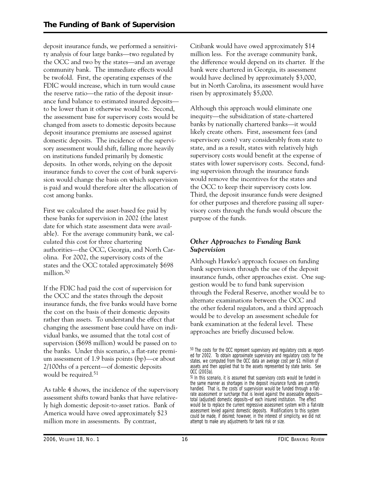deposit insurance funds, we performed a sensitivity analysis of four large banks—two regulated by the OCC and two by the states—and an average community bank. The immediate effects would be twofold. First, the operating expenses of the FDIC would increase, which in turn would cause the reserve ratio—the ratio of the deposit insurance fund balance to estimated insured deposits to be lower than it otherwise would be. Second, the assessment base for supervisory costs would be changed from assets to domestic deposits because deposit insurance premiums are assessed against domestic deposits. The incidence of the supervisory assessment would shift, falling more heavily on institutions funded primarily by domestic deposits. In other words, relying on the deposit insurance funds to cover the cost of bank supervision would change the basis on which supervision is paid and would therefore alter the allocation of cost among banks.

First we calculated the asset-based fee paid by these banks for supervision in 2002 (the latest date for which state assessment data were available). For the average community bank, we calculated this cost for three chartering authorities—the OCC, Georgia, and North Carolina. For 2002, the supervisory costs of the states and the OCC totaled approximately \$698 million.50

If the FDIC had paid the cost of supervision for the OCC and the states through the deposit insurance funds, the five banks would have borne the cost on the basis of their domestic deposits rather than assets. To understand the effect that changing the assessment base could have on individual banks, we assumed that the total cost of supervision (\$698 million) would be passed on to the banks. Under this scenario, a flat-rate premium assessment of 1.9 basis points (bp)—or about 2/100ths of a percent—of domestic deposits would be required.<sup>51</sup>

As table 4 shows, the incidence of the supervisory assessment shifts toward banks that have relatively high domestic deposit-to-asset ratios. Bank of America would have owed approximately \$23 million more in assessments. By contrast,

Citibank would have owed approximately \$14 million less. For the average community bank, the difference would depend on its charter. If the bank were chartered in Georgia, its assessment would have declined by approximately \$3,000, but in North Carolina, its assessment would have risen by approximately \$5,000.

Although this approach would eliminate one inequity—the subsidization of state-chartered banks by nationally chartered banks—it would likely create others. First, assessment fees (and supervisory costs) vary considerably from state to state, and as a result, states with relatively high supervisory costs would benefit at the expense of states with lower supervisory costs. Second, funding supervision through the insurance funds would remove the incentives for the states and the OCC to keep their supervisory costs low. Third, the deposit insurance funds were designed for other purposes and therefore passing all supervisory costs through the funds would obscure the purpose of the funds.

# *Other Approaches to Funding Bank Supervision*

Although Hawke's approach focuses on funding bank supervision through the use of the deposit insurance funds, other approaches exist. One suggestion would be to fund bank supervision through the Federal Reserve, another would be to alternate examinations between the OCC and the other federal regulators, and a third approach would be to develop an assessment schedule for bank examination at the federal level. These approaches are briefly discussed below.

<sup>50</sup> The costs for the OCC represent supervisory and regulatory costs as reported for 2002. To obtain approximate supervisory and regulatory costs for the states, we computed from the OCC data an average cost per \$1 million of assets and then applied that to the assets represented by state banks. See OCC (2003a).

<sup>51</sup> In this scenario, it is assumed that supervisory costs would be funded in the same manner as shortages in the deposit insurance funds are currently handled. That is, the costs of supervision would be funded through a flatrate assessment or surcharge that is levied against the assessable depositstotal (adjusted) domestic deposits—of each insured institution. The effect would be to replace the current regressive assessment system with a flat-rate assessment levied against domestic deposits. Modifications to this system could be made, if desired; however, in the interest of simplicity, we did not attempt to make any adjustments for bank risk or size.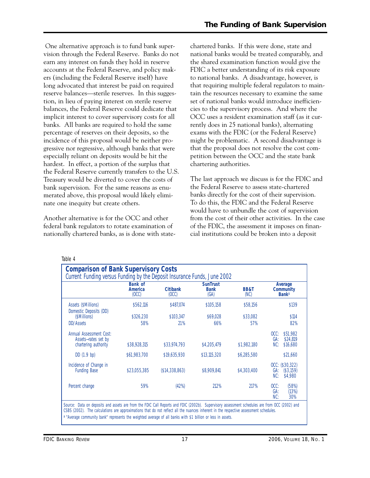One alternative approach is to fund bank supervision through the Federal Reserve. Banks do not earn any interest on funds they hold in reserve accounts at the Federal Reserve, and policy makers (including the Federal Reserve itself) have long advocated that interest be paid on required reserve balances—sterile reserves. In this suggestion, in lieu of paying interest on sterile reserve balances, the Federal Reserve could dedicate that implicit interest to cover supervisory costs for all banks. All banks are required to hold the same percentage of reserves on their deposits, so the incidence of this proposal would be neither progressive nor regressive, although banks that were especially reliant on deposits would be hit the hardest. In effect, a portion of the surplus that the Federal Reserve currently transfers to the U.S. Treasury would be diverted to cover the costs of bank supervision. For the same reasons as enumerated above, this proposal would likely eliminate one inequity but create others.

Another alternative is for the OCC and other federal bank regulators to rotate examination of nationally chartered banks, as is done with state-

 to national banks. A disadvantage, however, is might be problematic. A second disadvantage is chartered banks. If this were done, state and national banks would be treated comparably, and the shared examination function would give the FDIC a better understanding of its risk exposure that requiring multiple federal regulators to maintain the resources necessary to examine the same set of national banks would introduce inefficiencies to the supervisory process. And where the OCC uses a resident examination staff (as it currently does in 25 national banks), alternating exams with the FDIC (or the Federal Reserve) that the proposal does not resolve the cost competition between the OCC and the state bank chartering authorities.

The last approach we discuss is for the FDIC and the Federal Reserve to assess state-chartered banks directly for the cost of their supervision. To do this, the FDIC and the Federal Reserve would have to unbundle the cost of supervision from the cost of their other activities. In the case of the FDIC, the assessment it imposes on financial institutions could be broken into a deposit

Table 4

|                                                                        | <b>Bank of</b><br><b>America</b><br>(OCC) | <b>Citibank</b><br>(0CC) | <b>SunTrust</b><br><b>Bank</b><br>(GA) | <b>BB&amp;T</b><br>(NC) | Average<br><b>Community</b><br><b>Bank</b> <sup>a</sup> |
|------------------------------------------------------------------------|-------------------------------------------|--------------------------|----------------------------------------|-------------------------|---------------------------------------------------------|
| Assets (\$Millions)<br>Domestic Deposits (DD)                          | \$562,116                                 | \$487.074                | \$105,158                              | \$58,156                | \$139                                                   |
| (\$Millions)                                                           | \$326,230                                 | \$103,347                | \$69,028                               | \$33,082                | \$114                                                   |
| DD/Assets                                                              | 58%                                       | 21%                      | 66%                                    | 57%                     | 82%                                                     |
| Annual Assessment Cost:<br>Assets-rates set by<br>chartering authority | \$38,928,315                              | \$33,974,793             | \$4,205,479                            | \$1,982,180             | OCC:<br>\$51,982<br>GA:<br>\$24,819<br>NC:<br>\$16,680  |
|                                                                        |                                           |                          |                                        |                         |                                                         |
| DD(1.9 bp)                                                             | \$61,983,700                              | \$19,635,930             | \$13,115,320                           | \$6,285,580             | \$21,660                                                |
| Incidence of Change in<br><b>Funding Base</b>                          | \$23,055,385                              | (\$14,338,863)           | \$8,909.841                            | \$4,303,400             | OCC: (\$30,322)<br>(\$3,159)<br>GA:<br>NC:<br>\$4,980   |
| Percent change                                                         | 59%                                       | (42%)                    | 212%                                   | 217%                    | $OCC$ :<br>(58%)<br>GA:<br>(13%)<br>NC:<br>30%          |

a "Average community bank" represents the weighted average of all banks with \$1 billion or less in assets.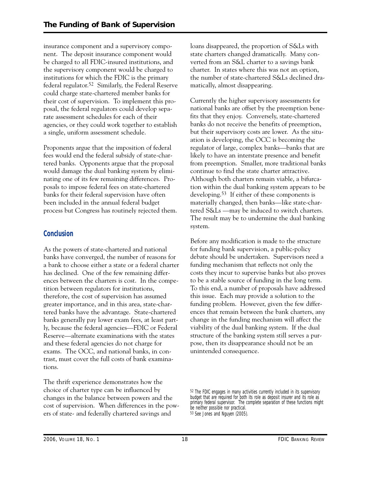insurance component and a supervisory component. The deposit insurance component would be charged to all FDIC-insured institutions, and the supervisory component would be charged to institutions for which the FDIC is the primary federal regulator.52 Similarly, the Federal Reserve could charge state-chartered member banks for their cost of supervision. To implement this proposal, the federal regulators could develop separate assessment schedules for each of their agencies, or they could work together to establish a single, uniform assessment schedule.

Proponents argue that the imposition of federal fees would end the federal subsidy of state-chartered banks. Opponents argue that the proposal would damage the dual banking system by eliminating one of its few remaining differences. Proposals to impose federal fees on state-chartered banks for their federal supervision have often been included in the annual federal budget process but Congress has routinely rejected them.

# **Conclusion**

As the powers of state-chartered and national banks have converged, the number of reasons for a bank to choose either a state or a federal charter has declined. One of the few remaining differences between the charters is cost. In the competition between regulators for institutions, therefore, the cost of supervision has assumed greater importance, and in this area, state-chartered banks have the advantage. State-chartered banks generally pay lower exam fees, at least partly, because the federal agencies—FDIC or Federal Reserve—alternate examinations with the states and these federal agencies do not charge for exams. The OCC, and national banks, in contrast, must cover the full costs of bank examinations.

The thrift experience demonstrates how the choice of charter type can be influenced by changes in the balance between powers and the cost of supervision. When differences in the powers of state- and federally chartered savings and

loans disappeared, the proportion of S&Ls with state charters changed dramatically. Many converted from an S&L charter to a savings bank charter. In states where this was not an option, the number of state-chartered S&Ls declined dramatically, almost disappearing.

Currently the higher supervisory assessments for national banks are offset by the preemption benefits that they enjoy. Conversely, state-chartered banks do not receive the benefits of preemption, but their supervisory costs are lower. As the situation is developing, the OCC is becoming the regulator of large, complex banks—banks that are likely to have an interstate presence and benefit from preemption. Smaller, more traditional banks continue to find the state charter attractive. Although both charters remain viable, a bifurcation within the dual banking system appears to be developing.53 If either of these components is materially changed, then banks—like state-chartered S&Ls —may be induced to switch charters. The result may be to undermine the dual banking system.

Before any modification is made to the structure for funding bank supervision, a public-policy debate should be undertaken. Supervisors need a funding mechanism that reflects not only the costs they incur to supervise banks but also proves to be a stable source of funding in the long term. To this end, a number of proposals have addressed this issue. Each may provide a solution to the funding problem. However, given the few differences that remain between the bank charters, any change in the funding mechanism will affect the viability of the dual banking system. If the dual structure of the banking system still serves a purpose, then its disappearance should not be an unintended consequence.

<sup>52</sup> The FDIC engages in many activities currently included in its supervisory budget that are required for both its role as deposit insurer and its role as primary federal supervisor. The complete separation of these functions might be neither possible nor practical. 53 See Jones and Nguyen (2005).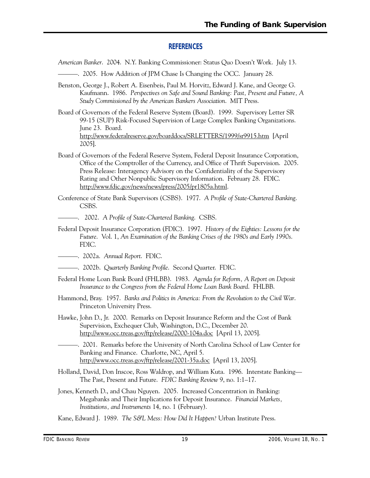# **REFERENCES**

- *American Banker*. 2004. N.Y. Banking Commissioner: Status Quo Doesn't Work. July 13.
- ———. 2005. How Addition of JPM Chase Is Changing the OCC. January 28.
- Kaufmann. 1986. *Perspectives on Safe and Sound Banking: Past, Present and Future, A*  Benston, George J., Robert A. Eisenbeis, Paul M. Horvitz, Edward J. Kane, and George G. *Study Commissioned by the American Bankers Association*. MIT Press.
- Board of Governors of the Federal Reserve System (Board). 1999. Supervisory Letter SR 99-15 (SUP) Risk-Focused Supervision of Large Complex Banking Organizations. June 23. Board. http://www.federalreserve.gov/boarddocs/SRLETTERS/1999/sr9915.htm [April 2005].
- Board of Governors of the Federal Reserve System, Federal Deposit Insurance Corporation, Office of the Comptroller of the Currency, and Office of Thrift Supervision. 2005. Press Release: Interagency Advisory on the Confidentiality of the Supervisory Rating and Other Nonpublic Supervisory Information. February 28. FDIC. http://www.fdic.gov/news/news/press/2005/pr1805a.html.
- Conference of State Bank Supervisors (CSBS). 1977. *A Profile of State-Chartered Banking*. CSBS.
- ———. 2002. *A Profile of State-Chartered Banking*. CSBS.
- Federal Deposit Insurance Corporation (FDIC). 1997. *History of the Eighties: Lessons for the Future*. Vol. 1, *An Examination of the Banking Crises of the 1980s and Early 1990s*. FDIC.
- ———. 2002a. *Annual Report*. FDIC.
- ———. 2002b. *Quarterly Banking Profile*. Second Quarter. FDIC.
- Federal Home Loan Bank Board (FHLBB). 1983. *Agenda for Reform, A Report on Deposit Insurance to the Congress from the Federal Home Loan Bank Board*. FHLBB.
- Hammond, Bray. 1957. *Banks and Politics in America: From the Revolution to the Civil War*. Princeton University Press.
- Hawke, John D., Jr. 2000. Remarks on Deposit Insurance Reform and the Cost of Bank Supervision, Exchequer Club, Washington, D.C., December 20. http://www.occ.treas.gov/ftp/release/2000-104a.doc [April 13, 2005].
- ———. 2001. Remarks before the University of North Carolina School of Law Center for Banking and Finance. Charlotte, NC, April 5. http://www.occ.treas.gov/ftp/release/2001-35a.doc [April 13, 2005].
- Holland, David, Don Inscoe, Ross Waldrop, and William Kuta. 1996. Interstate Banking— The Past, Present and Future. *FDIC Banking Review* 9, no. 1:1–17.
- Jones, Kenneth D., and Chau Nguyen. 2005. Increased Concentration in Banking: Megabanks and Their Implications for Deposit Insurance. *Financial Markets, Institutions, and Instruments* 14, no. 1 (February).
- Kane, Edward J. 1989. *The S&L Mess: How Did It Happen?* Urban Institute Press.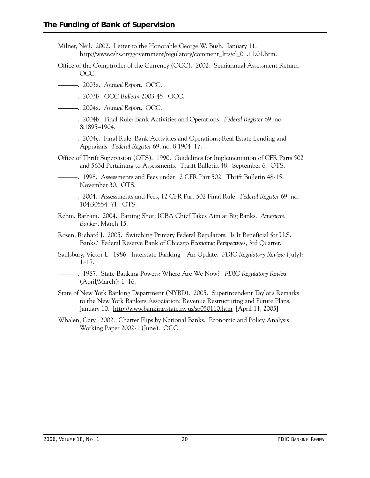- Milner, Neil. 2002. Letter to the Honorable George W. Bush. January 11. http://www.csbs.org/government/regulatory/comment\_ltrs/cl\_01.11.01.htm.
- Office of the Comptroller of the Currency (OCC). 2002. Semiannual Assessment Return. OCC.
- ———. 2003a. *Annual Report*. OCC.
- ———. 2003b. *OCC Bulletin* 2003-45. OCC.
- ———. 2004a. *Annual Report*. OCC.
- ———. 2004b. Final Rule: Bank Activities and Operations. *Federal Register* 69, no. 8:1895–1904.
- ———. 2004c. Final Rule: Bank Activities and Operations; Real Estate Lending and Appraisals. *Federal Register* 69, no. 8:1904–17.
- Office of Thrift Supervision (OTS). 1990. Guidelines for Implementation of CFR Parts 502 and 563d Pertaining to Assessments. Thrift Bulletin 48. September 6. OTS.
- ––––––. 1998. Assessments and Fees under 12 CFR Part 502. Thrift Bulletin 48-15. November 30. OTS.
- ––––––. 2004. Assessments and Fees, 12 CFR Part 502 Final Rule. *Federal Register* 69, no. 104:30554–71. OTS.
- Rehm, Barbara. 2004. Parting Shot: ICBA Chief Takes Aim at Big Banks. *American Banker*, March 15.
- Rosen, Richard J. 2005. Switching Primary Federal Regulators: Is It Beneficial for U.S. Banks? Federal Reserve Bank of Chicago *Economic Perspectives*, 3rd Quarter.
- Saulsbury, Victor L. 1986. Interstate Banking—An Update. *FDIC Regulatory Review* (July): 1–17.
- ———. 1987. State Banking Powers: Where Are We Now? *FDIC Regulatory Review*  (April/March): 1–16.
- State of New York Banking Department (NYBD). 2005. Superintendent Taylor's Remarks to the New York Bankers Association: Revenue Restructuring and Future Plans, January 10. http://www.banking.state.ny.us/sp050110.htm [April 11, 2005].
- Whalen, Gary. 2002. Charter Flips by National Banks. Economic and Policy Analysis Working Paper 2002-1 (June). OCC.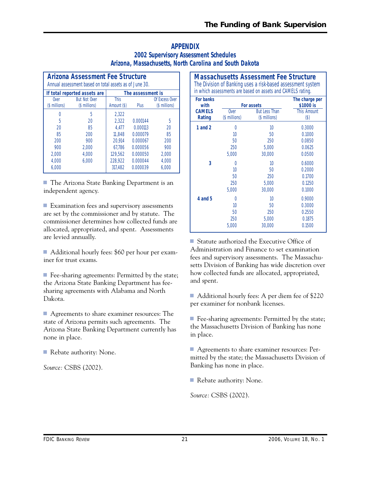# **APPENDIX 2002 Supervisory Assessment Schedules Arizona, Massachusetts, North Carolina and South Dakota**

| <b>Arizona Assessment Fee Structure</b><br>Annual assessment based on total assets as of June 30. |                                      |                            |                   |                                 |  |  |
|---------------------------------------------------------------------------------------------------|--------------------------------------|----------------------------|-------------------|---------------------------------|--|--|
|                                                                                                   | If total reported assets are         |                            | The assessment is |                                 |  |  |
| Over<br>(\$ millions)                                                                             | <b>But Not Over</b><br>(\$ millions) | <b>This</b><br>Amount (\$) | Plus              | Of Excess Over<br>(\$ millions) |  |  |
|                                                                                                   | 5                                    | 2.322                      |                   |                                 |  |  |
| 5                                                                                                 | 20                                   | 2.322                      | 0.000144          | 5                               |  |  |
| 20                                                                                                | 85                                   | 4.477                      | 0.000113          | 20                              |  |  |
| 85                                                                                                | 200                                  | 11.848                     | 0.000079          | 85                              |  |  |
| 200                                                                                               | 900                                  | 20.914                     | 0.000067          | 200                             |  |  |
| 900                                                                                               | 2.000                                | 67,786                     | 0.000056          | 900                             |  |  |
| 2.000                                                                                             | 4.000                                | 129.562                    | 0.000050          | 2,000                           |  |  |
| 4.000                                                                                             | 6.000                                | 228,922                    | 0.000044          | 4.000                           |  |  |
| 6.000                                                                                             |                                      | 317.482                    | 0.000039          | 6.000                           |  |  |

■ The Arizona State Banking Department is an independent agency.

 $\blacksquare$  Examination fees and supervisory assessments are set by the commissioner and by statute. The commissioner determines how collected funds are allocated, appropriated, and spent. Assessments are levied annually.

■ Additional hourly fees: \$60 per hour per examiner for trust exams.

■ Fee-sharing agreements: Permitted by the state; the Arizona State Banking Department has feesharing agreements with Alabama and North Dakota.

■ Agreements to share examiner resources: The state of Arizona permits such agreements. The Arizona State Banking Department currently has none in place.

■ Rebate authority: None.

*Source:* CSBS (2002).

| <b>Massachusetts Assessment Fee Structure</b><br>The Division of Banking uses a risk-based assessment system<br>in which assessments are based on assets and CAMELS rating. |               |                                    |                                                   |  |  |  |
|-----------------------------------------------------------------------------------------------------------------------------------------------------------------------------|---------------|------------------------------------|---------------------------------------------------|--|--|--|
| <b>For banks</b><br>with<br><b>CAMELS</b>                                                                                                                                   | Over          | For assets<br><b>But Less Than</b> | The charge per<br>\$1000 is<br><b>This Amount</b> |  |  |  |
| <b>Rating</b>                                                                                                                                                               | (\$ millions) | (\$ millions)                      | $(\$)$                                            |  |  |  |
| 1 and 2                                                                                                                                                                     | $\Omega$      | 10                                 | 0.3000                                            |  |  |  |
|                                                                                                                                                                             | 10            | 50                                 | 0.1000                                            |  |  |  |
|                                                                                                                                                                             | 50            | 250                                | 0.0850                                            |  |  |  |
|                                                                                                                                                                             | 250           | 5,000                              | 0.0625                                            |  |  |  |
|                                                                                                                                                                             | 5,000         | 30,000                             | 0.0500                                            |  |  |  |
| 3                                                                                                                                                                           | U             | 10                                 | 0.6000                                            |  |  |  |
|                                                                                                                                                                             | 10            | 50                                 | 0.2000                                            |  |  |  |
|                                                                                                                                                                             | 50            | 250                                | 0.1700                                            |  |  |  |
|                                                                                                                                                                             | 250           | 5,000                              | 0.1250                                            |  |  |  |
|                                                                                                                                                                             | 5,000         | 30,000                             | 0.1000                                            |  |  |  |
| 4 and 5                                                                                                                                                                     | 0             | 10                                 | 0.9000                                            |  |  |  |
|                                                                                                                                                                             | 10            | 50                                 | 0.3000                                            |  |  |  |
|                                                                                                                                                                             | 50            | 250                                | 0.2550                                            |  |  |  |
|                                                                                                                                                                             | 250           | 5,000                              | 0.1875                                            |  |  |  |
|                                                                                                                                                                             | 5,000         | 30,000                             | 0.1500                                            |  |  |  |

■ Statute authorized the Executive Office of Administration and Finance to set examination fees and supervisory assessments. The Massachusetts Division of Banking has wide discretion over how collected funds are allocated, appropriated, and spent.

■ Additional hourly fees: A per diem fee of \$220 per examiner for nonbank licenses.

■ Fee-sharing agreements: Permitted by the state; the Massachusetts Division of Banking has none in place.

■ Agreements to share examiner resources: Permitted by the state; the Massachusetts Division of Banking has none in place.

Rebate authority: None.

*Source:* CSBS (2002).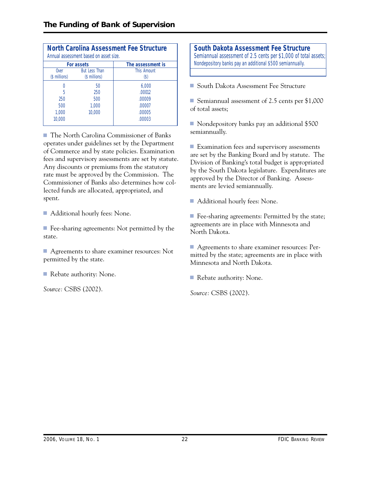|                       | Annual assessment based on asset size. | <b>North Carolina Assessment Fee Structure</b> |
|-----------------------|----------------------------------------|------------------------------------------------|
|                       | For assets                             | The assessment is                              |
| Over<br>(\$ millions) | <b>But Less Than</b><br>(\$ millions)  | <b>This Amount</b><br>(\$)                     |
|                       | 50                                     | 6.000                                          |
| 5                     | 250                                    | .00012                                         |
| 250                   | 500                                    | .00009                                         |
| 500                   | 1,000                                  | .00007                                         |
| 1,000                 | 10.000                                 | .00005                                         |
| 10.000                |                                        | .00003                                         |

■ The North Carolina Commissioner of Banks operates under guidelines set by the Department of Commerce and by state policies. Examination fees and supervisory assessments are set by statute. Any discounts or premiums from the statutory rate must be approved by the Commission. The Commissioner of Banks also determines how collected funds are allocated, appropriated, and spent.

■ Additional hourly fees: None.

■ Fee-sharing agreements: Not permitted by the state.

■ Agreements to share examiner resources: Not permitted by the state.

■ Rebate authority: None.

*Source:* CSBS (2002).

**South Dakota Assessment Fee Structure**  Semiannual assessment of 2.5 cents per \$1,000 of total assets; Nondepository banks pay an additional \$500 semiannually.

■ South Dakota Assessment Fee Structure

■ Semiannual assessment of 2.5 cents per \$1,000 of total assets;

■ Nondepository banks pay an additional \$500 semiannually.

■ Examination fees and supervisory assessments are set by the Banking Board and by statute. The Division of Banking's total budget is appropriated by the South Dakota legislature. Expenditures are approved by the Director of Banking. Assessments are levied semiannually.

■ Additional hourly fees: None.

■ Fee-sharing agreements: Permitted by the state; agreements are in place with Minnesota and North Dakota.

■ Agreements to share examiner resources: Permitted by the state; agreements are in place with Minnesota and North Dakota.

■ Rebate authority: None.

*Source:* CSBS (2002).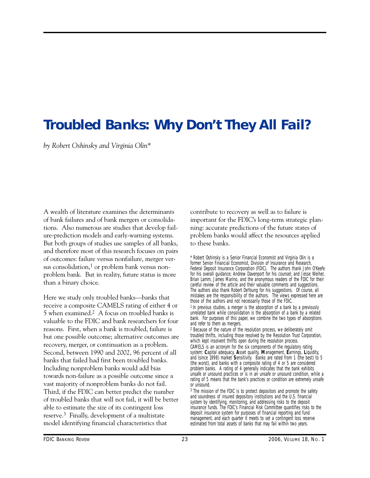# **Troubled Banks: Why Don't They All Fail?**

*by Robert Oshinsky and Virginia Olin\** 

A wealth of literature examines the determinants of bank failures and of bank mergers or consolidations. Also numerous are studies that develop failure-prediction models and early-warning systems. But both groups of studies use samples of all banks, and therefore most of this research focuses on pairs of outcomes: failure versus nonfailure, merger versus consolidation, $<sup>1</sup>$  or problem bank versus non-</sup> problem bank. But in reality, future status is more than a binary choice.

Here we study only troubled banks—banks that receive a composite CAMELS rating of either 4 or 5 when examined.2 A focus on troubled banks is valuable to the FDIC and bank researchers for four reasons. First, when a bank is troubled, failure is but one possible outcome; alternative outcomes are recovery, merger, or continuation as a problem. Second, between 1990 and 2002, 96 percent of all banks that failed had first been troubled banks. Including nonproblem banks would add bias towards non-failure as a possible outcome since a vast majority of nonproblem banks do not fail. Third, if the FDIC can better predict the number of troubled banks that will not fail, it will be better able to estimate the size of its contingent loss reserve.3 Finally, development of a multistate model identifying financial characteristics that

contribute to recovery as well as to failure is important for the FDIC's long-term strategic planning: accurate predictions of the future states of problem banks would affect the resources applied to these banks.

\* Robert Oshinsky is a Senior Financial Economist and Virginia Olin is a former Senior Financial Economist, Division of Insurance and Research, Federal Deposit Insurance Corporation (FDIC). The authors thank John O'Keefe for his overall guidance; Andrew Davenport for his counsel; and Jesse Weiher, Brian Lamm, James Marino, and the anonymous readers of the FDIC for their careful review of the article and their valuable comments and suggestions. The authors also thank Robert DeYoung for his suggestions. Of course, all mistakes are the responsibility of the authors. The views expressed here are those of the authors and not necessarily those of the FDIC. <sup>1</sup> In previous studies, a merger is the absorption of a bank by a previously

unrelated bank while consolidation is the absorption of a bank by a related bank. For purposes of this paper, we combine the two types of absorptions and refer to them as mergers.

2 Because of the nature of the resolution process, we deliberately omit troubled thrifts, including those resolved by the Resolution Trust Corporation, which kept insolvent thrifts open during the resolution process.

CAMELS is an acronym for the six components of the regulatory rating system: **C**apital adequacy, **A**sset quality, **M**anagement, **E**arnings, **L**iquidity, and (since 1998) market **S**ensitivity. Banks are rated from 1 (the best) to 5 (the worst), and banks with a composite rating of 4 or 5 are considered problem banks. A rating of 4 generally indicates that the bank exhibits unsafe or unsound practices or is in an unsafe or unsound condition, while a rating of 5 means that the bank's practices or condition are extremely unsafe or unsound.

3 The mission of the FDIC is to protect depositors and promote the safety and soundness of insured depository institutions and the U.S. financial system by identifying, monitoring, and addressing risks to the deposit insurance funds. The FDIC's Financial Risk Committee quantifies risks to the deposit insurance system for purposes of financial reporting and fund management, and each quarter it meets to set a contingent loss reserve estimated from total assets of banks that may fail within two years.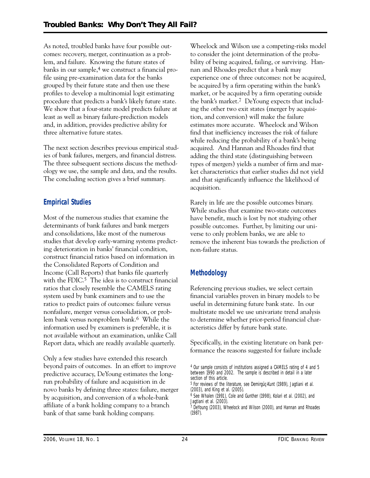As noted, troubled banks have four possible outcomes: recovery, merger, continuation as a problem, and failure. Knowing the future states of banks in our sample,<sup>4</sup> we construct a financial profile using pre-examination data for the banks grouped by their future state and then use these profiles to develop a multinomial logit estimating procedure that predicts a bank's likely future state. We show that a four-state model predicts failure at least as well as binary failure-prediction models and, in addition, provides predictive ability for three alternative future states.

The next section describes previous empirical studies of bank failures, mergers, and financial distress. The three subsequent sections discuss the methodology we use, the sample and data, and the results. The concluding section gives a brief summary.

# **Empirical Studies**

Most of the numerous studies that examine the determinants of bank failures and bank mergers and consolidations, like most of the numerous studies that develop early-warning systems predicting deterioration in banks' financial condition, construct financial ratios based on information in the Consolidated Reports of Condition and Income (Call Reports) that banks file quarterly with the  $FDIC<sup>5</sup>$ . The idea is to construct financial ratios that closely resemble the CAMELS rating system used by bank examiners and to use the ratios to predict pairs of outcomes: failure versus nonfailure, merger versus consolidation, or problem bank versus nonproblem bank.6 While the information used by examiners is preferable, it is not available without an examination, unlike Call Report data, which are readily available quarterly.

Only a few studies have extended this research beyond pairs of outcomes. In an effort to improve predictive accuracy, DeYoung estimates the longrun probability of failure and acquisition in de novo banks by defining three states: failure, merger by acquisition, and conversion of a whole-bank affiliate of a bank holding company to a branch bank of that same bank holding company.

Wheelock and Wilson use a competing-risks model to consider the joint determination of the probability of being acquired, failing, or surviving. Hannan and Rhoades predict that a bank may experience one of three outcomes: not be acquired, be acquired by a firm operating within the bank's market, or be acquired by a firm operating outside the bank's market.7 DeYoung expects that including the other two exit states (merger by acquisition, and conversion) will make the failure estimates more accurate. Wheelock and Wilson find that inefficiency increases the risk of failure while reducing the probability of a bank's being acquired. And Hannan and Rhoades find that adding the third state (distinguishing between types of mergers) yields a number of firm and market characteristics that earlier studies did not yield and that significantly influence the likelihood of acquisition.

Rarely in life are the possible outcomes binary. While studies that examine two-state outcomes have benefit, much is lost by not studying other possible outcomes. Further, by limiting our universe to only problem banks, we are able to remove the inherent bias towards the prediction of non-failure status.

# **Methodology**

Referencing previous studies, we select certain financial variables proven in binary models to be useful in determining future bank state. In our multistate model we use univariate trend analysis to determine whether prior-period financial characteristics differ by future bank state.

Specifically, in the existing literature on bank performance the reasons suggested for failure include

<sup>4</sup> Our sample consists of institutions assigned a CAMELS rating of 4 and 5 between 1990 and 2002. The sample is described in detail in a later section of this article.

<sup>5</sup> For reviews of the literature, see Demirgüç-Kunt (1989), Jagtiani et al. (2003), and King et al. (2005).

<sup>6</sup> See Whalen (1991), Cole and Gunther (1998), Kolari et al. (2002), and Jagtiani et al. (2003).

<sup>7</sup> DeYoung (2003), Wheelock and Wilson (2000), and Hannan and Rhoades (1987).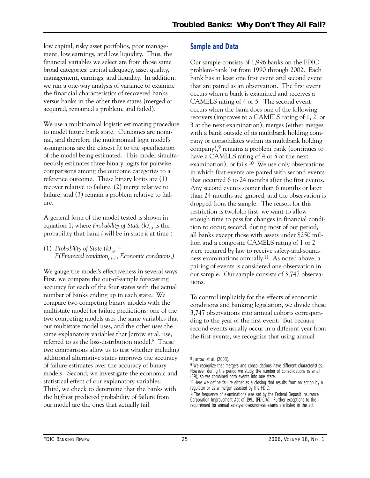low capital, risky asset portfolios, poor management, low earnings, and low liquidity. Thus, the financial variables we select are from those same broad categories: capital adequacy, asset quality, management, earnings, and liquidity. In addition, we run a one-way analysis of variance to examine the financial characteristics of recovered banks versus banks in the other three states (merged or acquired, remained a problem, and failed).

We use a multinomial logistic estimating procedure to model future bank state. Outcomes are nominal, and therefore the multinomial logit model's assumptions are the closest fit to the specification of the model being estimated. This model simultaneously estimates three binary logits for pairwise comparisons among the outcome categories to a reference outcome. These binary logits are (1) recover relative to failure, (2) merge relative to failure, and (3) remain a problem relative to failure.

A general form of the model tested is shown in equation 1, where *Probability of State*  $(k)$ <sub>it</sub> is the probability that bank *i* will be in state *k* at time *t*.

(1) Probability of State  $(k)_{i,t}$  = *F(Financial conditioni,t-1, Economic conditionst )* 

We gauge the model's effectiveness in several ways. First, we compare the out-of-sample forecasting accuracy for each of the four states with the actual number of banks ending up in each state. We compare two competing binary models with the multistate model for failure predictions: one of the two competing models uses the same variables that our multistate model uses, and the other uses the same explanatory variables that Jarrow et al. use, referred to as the loss-distribution model.8 These two comparisons allow us to test whether including additional alternative states improves the accuracy of failure estimates over the accuracy of binary models. Second, we investigate the economic and statistical effect of our explanatory variables. Third, we check to determine that the banks with the highest predicted probability of failure from our model are the ones that actually fail.

# **Sample and Data**

Our sample consists of 1,996 banks on the FDIC problem-bank list from 1990 through 2002. Each bank has at least one first event and second event that are paired as an observation. The first event occurs when a bank is examined and receives a CAMELS rating of 4 or 5. The second event occurs when the bank does one of the following: recovers (improves to a CAMELS rating of 1, 2, or 3 at the next examination), merges (either merges with a bank outside of its multibank holding company or consolidates within its multibank holding company),9 remains a problem bank (continues to have a CAMELS rating of 4 or 5 at the next examination), or fails.<sup>10</sup> We use only observations in which first events are paired with second events that occurred 6 to 24 months after the first events. Any second events sooner than 6 months or later than 24 months are ignored, and the observation is dropped from the sample. The reason for this restriction is twofold: first, we want to allow enough time to pass for changes in financial condition to occur; second, during most of our period, all banks except those with assets under \$250 million and a composite CAMELS rating of 1 or 2 were required by law to receive safety-and-soundness examinations annually.11 As noted above, a pairing of events is considered one observation in our sample. Our sample consists of 3,747 observations.

To control implicitly for the effects of economic conditions and banking legislation, we divide these 3,747 observations into annual cohorts corresponding to the year of the first event. But because second events usually occur in a different year from the first events, we recognize that using annual

<sup>8</sup> Jarrow et al. (2003).

<sup>&</sup>lt;sup>9</sup> We recognize that mergers and consolidations have different characteristics. However, during the period we study, the number of consolidations is small (39), so we combined both events into one state.

<sup>&</sup>lt;sup>10</sup> Here we define failure either as a closing that results from an action by a regulator or as a merger assisted by the FDIC.

<sup>11</sup> The frequency of examinations was set by the Federal Deposit Insurance Corporation Improvement Act of 1991 (FDICIA). Further exceptions to the requirement for annual safety-and-soundness exams are listed in the act.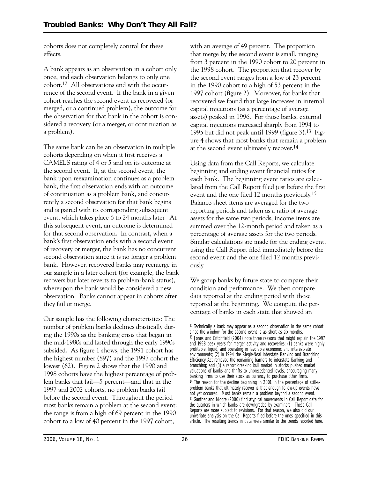cohorts does not completely control for these effects.

A bank appears as an observation in a cohort only once, and each observation belongs to only one cohort.12 All observations end with the occurrence of the second event. If the bank in a given cohort reaches the second event as recovered (or merged, or a continued problem), the outcome for the observation for that bank in the cohort is considered a recovery (or a merger, or continuation as a problem).

The same bank can be an observation in multiple cohorts depending on when it first receives a CAMELS rating of 4 or 5 and on its outcome at the second event. If, at the second event, the bank upon reexamination continues as a problem bank, the first observation ends with an outcome of continuation as a problem bank, and concurrently a second observation for that bank begins and is paired with its corresponding subsequent event, which takes place 6 to 24 months later. At this subsequent event, an outcome is determined for that second observation. In contrast, when a bank's first observation ends with a second event of recovery or merger, the bank has no concurrent second observation since it is no longer a problem bank. However, recovered banks may reemerge in our sample in a later cohort (for example, the bank recovers but later reverts to problem-bank status), whereupon the bank would be considered a new observation. Banks cannot appear in cohorts after they fail or merge.

Our sample has the following characteristics: The number of problem banks declines drastically during the 1990s as the banking crisis that began in the mid-1980s and lasted through the early 1990s subsided. As figure 1 shows, the 1991 cohort has the highest number (897) and the 1997 cohort the lowest (62). Figure 2 shows that the 1990 and 1998 cohorts have the highest percentage of problem banks that fail—5 percent—and that in the 1997 and 2002 cohorts, no problem banks fail before the second event. Throughout the period most banks remain a problem at the second event: the range is from a high of 69 percent in the 1990 cohort to a low of 40 percent in the 1997 cohort,

with an average of 49 percent. The proportion that merge by the second event is small, ranging from 3 percent in the 1990 cohort to 20 percent in the 1998 cohort. The proportion that recover by the second event ranges from a low of 23 percent in the 1990 cohort to a high of 53 percent in the 1997 cohort (figure 2). Moreover, for banks that recovered we found that large increases in internal capital injections (as a percentage of average assets) peaked in 1996. For those banks, external capital injections increased sharply from 1994 to 1995 but did not peak until 1999 (figure 3).13 Figure 4 shows that most banks that remain a problem at the second event ultimately recover.14

Using data from the Call Reports, we calculate beginning and ending event financial ratios for each bank. The beginning event ratios are calculated from the Call Report filed just before the first event and the one filed 12 months previously.15 Balance-sheet items are averaged for the two reporting periods and taken as a ratio of average assets for the same two periods; income items are summed over the 12-month period and taken as a percentage of average assets for the two periods. Similar calculations are made for the ending event, using the Call Report filed immediately before the second event and the one filed 12 months previously.

We group banks by future state to compare their condition and performance. We then compare data reported at the ending period with those reported at the beginning. We compute the percentage of banks in each state that showed an

 $12$  Technically a bank may appear as a second observation in the same cohort since the window for the second event is as short as six months. 13 Jones and Critchfield (2004) note three reasons that might explain the 1997 and 1998 peak years for merger activity and recoveries: (1) banks were highly profitable, liquid, and operating in favorable economic and interest-rate environments; (2) in 1994 the Riegle-Neal Interstate Banking and Branching Efficiency Act removed the remaining barriers to interstate banking and branching; and (3) a record-breaking bull market in stocks pushed market valuations of banks and thrifts to unprecedented levels, encouraging many banking firms to use their stock as currency to purchase other firms. 14 The reason for the decline beginning in 2001 in the percentage of still-aproblem banks that ultimately recover is that enough follow-up events have not yet occurred. Most banks remain a problem beyond a second event. 15 Gunther and Moore (2000) find atypical movements in Call Report data for the quarters in which banks are downgraded by examiners. These Call Reports are more subject to revisions. For that reason, we also did our univariate analysis on the Call Reports filed before the ones specified in this article. The resulting trends in data were similar to the trends reported here.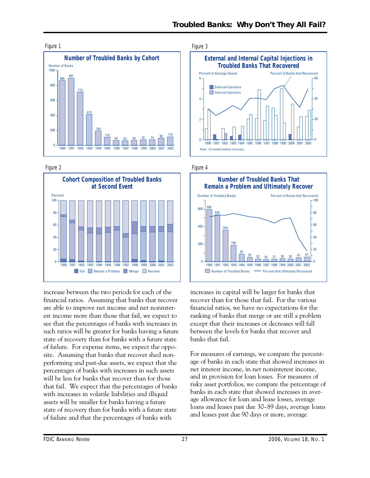





increase between the two periods for each of the financial ratios. Assuming that banks that recover are able to improve net income and net noninterest income more than those that fail, we expect to see that the percentages of banks with increases in such ratios will be greater for banks having a future state of recovery than for banks with a future state of failure. For expense items, we expect the opposite. Assuming that banks that recover shed nonperforming and past-due assets, we expect that the percentages of banks with increases in such assets will be less for banks that recover than for those that fail. We expect that the percentages of banks with increases in volatile liabilities and illiquid assets will be smaller for banks having a future state of recovery than for banks with a future state of failure and that the percentages of banks with





increases in capital will be larger for banks that recover than for those that fail. For the various financial ratios, we have no expectations for the ranking of banks that merge or are still a problem except that their increases or decreases will fall between the levels for banks that recover and banks that fail.

For measures of earnings, we compare the percentage of banks in each state that showed increases in net interest income, in net noninterest income, and in provision for loan losses. For measures of risky asset portfolios, we compare the percentage of banks in each state that showed increases in average allowance for loan and lease losses, average loans and leases past due 30–89 days, average loans and leases past due 90 days or more, average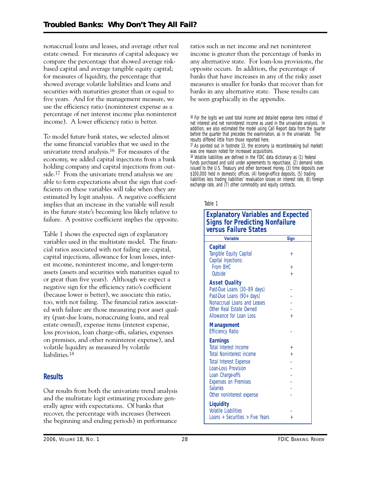income). A lower efficiency ratio is better. nonaccrual loans and leases, and average other real estate owned. For measures of capital adequacy we compare the percentage that showed average riskbased capital and average tangible equity capital; for measures of liquidity, the percentage that showed average volatile liabilities and loans and securities with maturities greater than or equal to five years. And for the management measure, we use the efficiency ratio (noninterest expense as a percentage of net interest income plus noninterest

 estimated by logit analysis. A negative coefficient failure. A positive coefficient implies the opposite. To model future bank states, we selected almost the same financial variables that we used in the univariate trend analysis.16 For measures of the economy, we added capital injections from a bank holding company and capital injections from outside.17 From the univariate trend analysis we are able to form expectations about the sign that coefficients on these variables will take when they are implies that an increase in the variable will result in the future state's becoming less likely relative to

Table 1 shows the expected sign of explanatory variables used in the multistate model. The financial ratios associated with not failing are capital, capital injections, allowance for loan losses, interest income, noninterest income, and longer-term assets (assets and securities with maturities equal to or great than five years). Although we expect a negative sign for the efficiency ratio's coefficient (because lower is better), we associate this ratio, too, with not failing. The financial ratios associated with failure are those measuring poor asset quality (past-due loans, nonaccruing loans, and real estate owned), expense items (interest expense, loss provision, loan charge-offs, salaries, expenses on premises, and other noninterest expense), and volatile liquidity as measured by volatile liabilities.18

# **Results**

Our results from both the univariate trend analysis and the multistate logit estimating procedure generally agree with expectations. Of banks that recover, the percentage with increases (between the beginning and ending periods) in performance

ratios such as net income and net noninterest income is greater than the percentage of banks in any alternative state. For loan-loss provisions, the opposite occurs. In addition, the percentage of banks that have increases in any of the risky asset measures is smaller for banks that recover than for banks in any alternative state. These results can be seen graphically in the appendix.

16 For the logits we used total income and detailed expense items instead of net interest and net noninterest income as used in the univariate analysis. In addition, we also estimated the model using Call Report data from the quarter before the quarter that precedes the examination, as in the univariate. The results differed little from those reported here.

 $\pi$  As pointed out in footnote 13, the economy (a record-breaking bull market) was one reason noted for increased acquisitions.

18 Volatile liabilities are defined in the FDIC data dictionary as (1) federal funds purchased and sold under agreements to repurchase, (2) demand notes issued to the U.S. Treasury and other borrowed money, (3) time deposits over \$100,000 held in domestic offices, (4) foreign-office deposits, (5) trading liabilities less trading liabilities' revaluation losses on interest rate, (6) foreign exchange rate, and (7) other commodity and equity contracts.

#### Table 1

### **Explanatory Variables and Expected Signs for Predicting Nonfailure versus Failure States**

| <b>Variable</b>                                                                                                                                                                                                                                      | <b>Sign</b>                     |
|------------------------------------------------------------------------------------------------------------------------------------------------------------------------------------------------------------------------------------------------------|---------------------------------|
| Capital<br>Tangible Equity Capital<br>Capital Injections:<br>From BHC<br>Outside                                                                                                                                                                     | $\pm$<br>$\ddot{}$<br>$\ddot{}$ |
| <b>Asset Quality</b><br>Past-Due Loans (30-89 days)<br>Past-Due Loans (90+ days)<br>Nonaccrual Loans and Leases<br>Other Real Estate Owned<br>Allowance for Loan Loss                                                                                | $^{+}$                          |
| <b>Management</b><br><b>Efficiency Ratio</b>                                                                                                                                                                                                         |                                 |
| <b>Earnings</b><br><b>Total Interest Income</b><br><b>Total Noninterest income</b><br><b>Total Interest Expense</b><br><b>Loan-Loss Provision</b><br>Loan Charge-offs<br><b>Expenses on Premises</b><br><b>Salaries</b><br>Other noninterest expense | $^{+}$<br>$\ddot{}$             |
| <b>Liquidity</b><br><b>Volatile Liabilities</b><br>Loans + Securities $>$ Five Years                                                                                                                                                                 | $^{+}$                          |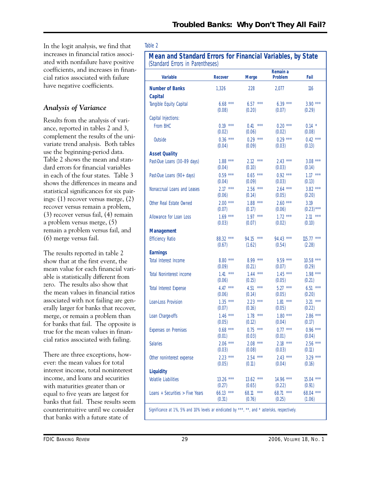In the logit analysis, we find that increases in financial ratios associated with nonfailure have positive coefficients, and increases in financial ratios associated with failure have negative coefficients.

# *Analysis of Variance*

Results from the analysis of variance, reported in tables 2 and 3, complement the results of the univariate trend analysis. Both tables use the beginning-period data. Table 2 shows the mean and standard errors for financial variables in each of the four states. Table 3 shows the differences in means and statistical significances for six pairings: (1) recover versus merge, (2) recover versus remain a problem, (3) recover versus fail, (4) remain a problem versus merge, (5) remain a problem versus fail, and (6) merge versus fail.

The results reported in table 2 show that at the first event, the mean value for each financial variable is statistically different from zero. The results also show that the mean values in financial ratios associated with not failing are generally larger for banks that recover, merge, or remain a problem than for banks that fail. The opposite is true for the mean values in financial ratios associated with failing.

There are three exceptions, however: the mean values for total interest income, total noninterest income, and loans and securities with maturities greater than or equal to five years are largest for banks that fail. These results seem counterintuitive until we consider that banks with a future state of

### Table 2

**Mean and Standard Errors for Financial Variables, by State** 

| (Standard Errors in Parentheses)                                                               |                      |                          |                     |                       |  |  |  |
|------------------------------------------------------------------------------------------------|----------------------|--------------------------|---------------------|-----------------------|--|--|--|
| <b>Variable</b>                                                                                | <b>Recover</b>       | <b>Merge</b>             | Remain a<br>Problem | Fail                  |  |  |  |
| <b>Number of Banks</b>                                                                         | 1,326                | 228                      | 2,077               | 116                   |  |  |  |
| <b>Capital</b>                                                                                 |                      |                          |                     |                       |  |  |  |
| Tangible Equity Capital                                                                        | $6.68***$            | $6.57***$                | $6.39***$           | $3.90***$             |  |  |  |
|                                                                                                | (0.08)               | (0.20)                   | (0.07)              | (0.29)                |  |  |  |
| Capital Injections:                                                                            |                      |                          |                     |                       |  |  |  |
| From BHC                                                                                       | $0.19***$            | $0.41***$                | $0.20***$           | $0.14$ *              |  |  |  |
|                                                                                                | (0.02)               | (0.06)                   | (0.02)              | (0.08)                |  |  |  |
| Outside                                                                                        | $0.36$ ***           | $0.29***$                | $0.29***$           | $0.42$ ***            |  |  |  |
|                                                                                                | (0.04)               | (0.09)                   | (0.03)              | (0.13)                |  |  |  |
| <b>Asset Quality</b>                                                                           |                      |                          |                     |                       |  |  |  |
| Past-Due Loans (30-89 days)                                                                    | $1.88***$            | $2.12$ ***               | $2.43$ ***          | $3.08***$             |  |  |  |
|                                                                                                | (0.04)               | (0.10)                   | (0.03)              | (0.14)                |  |  |  |
| Past-Due Loans (90+ days)                                                                      | $0.59***$            | $0.65$ ***               | $0.92***$           | $1.17***$             |  |  |  |
|                                                                                                | (0.04)               | (0.09)                   | (0.03)              | (0.13)                |  |  |  |
| Nonaccrual Loans and Leases                                                                    | $2.17***$            | $2.56$ ***               | $2.64***$           | $3.82***$             |  |  |  |
|                                                                                                | (0.06)               | (0.14)                   | (0.05)              | (0.20)                |  |  |  |
| Other Real Estate Owned                                                                        | $2.00***$            | $1.88***$                | $2.60***$           | 3.19                  |  |  |  |
|                                                                                                | (0.07)               | (0.17)                   | (0.06)              | $(0.23)$ ***          |  |  |  |
| Allowance for Loan Loss                                                                        | $1.69***$            | $1.97***$                | $1.72***$           | $2.11***$             |  |  |  |
|                                                                                                | (0.03)               | (0.07)                   | (0.02)              | (0.10)                |  |  |  |
| <b>Management</b>                                                                              |                      |                          |                     |                       |  |  |  |
| <b>Efficiency Ratio</b>                                                                        | 88.32 ***            | 94.15 ***                | $94.43***$          | $115.77$ ***          |  |  |  |
|                                                                                                | (0.67)               | (1.62)                   | (0.54)              | (2.28)                |  |  |  |
| <b>Earnings</b>                                                                                |                      |                          |                     |                       |  |  |  |
| <b>Total Interest Income</b>                                                                   | $8.80***$            | $8.99***$                | $9.59***$           | $10.58$ ***           |  |  |  |
|                                                                                                | (0.09)               | (0.21)                   | (0.07)              | (0.29)                |  |  |  |
| <b>Total Noninterest income</b>                                                                | $1.41***$            | $1.44***$                | $1.45***$           | $1.98***$             |  |  |  |
|                                                                                                | (0.06)               | (0.15)                   | (0.05)              | (0.21)                |  |  |  |
| <b>Total Interest Expense</b>                                                                  | 4.47 ***             | $4.51***$                | $5.27***$           | $6.51***$             |  |  |  |
|                                                                                                | (0.06)               | (0.14)                   | (0.05)              | (0.20)                |  |  |  |
| Loan-Loss Provision                                                                            | $1.35***$            | $2.23$ ***               | $1.81***$           | $3.21***$             |  |  |  |
|                                                                                                | (0.07)               | (0.16)                   | (0.05)              | (0.22)                |  |  |  |
| Loan Charge-offs                                                                               | $1.46***$            | $1.78$ ***               | $1.80***$           | $2.86***$             |  |  |  |
|                                                                                                | (0.05)               | (0.12)                   | (0.04)              | (0.17)                |  |  |  |
| Expenses on Premises                                                                           | $0.68***$            | $0.75$ ***               | $0.77***$           | $0.96***$             |  |  |  |
|                                                                                                | (0.01)               | (0.03)                   | (0.01)              | (0.04)                |  |  |  |
| <b>Salaries</b>                                                                                | $2.06***$            | $2.08$ ***               | $2.18***$           | $2.56***$             |  |  |  |
|                                                                                                | (0.03)               | (0.08)                   | (0.03)              | (0.11)                |  |  |  |
| Other noninterest expense                                                                      | $2.23***$            | $2.54$ ***               | $2.43***$           | $3.29***$             |  |  |  |
|                                                                                                | (0.05)               | (0.11)                   | (0.04)              | (0.16)                |  |  |  |
| <b>Liquidity</b>                                                                               |                      |                          |                     |                       |  |  |  |
| <b>Volatile Liabilities</b>                                                                    | $13.26$ ***          | $13.62$ ***              | 14.96 ***           | $15.04$ ***           |  |  |  |
|                                                                                                | (0.27)               | (0.65)                   | (0.22)              | (0.91)                |  |  |  |
| Loans + Securities > Five Years                                                                | $66.13***$<br>(0.31) | 68.11<br>$***$<br>(0.76) | 68.71 ***<br>(0.25) | $68.04$ ***<br>(1.06) |  |  |  |
| Significance at 1%, 5% and 10% levels ar eindicated by ***, **, and * asterisks, respectively. |                      |                          |                     |                       |  |  |  |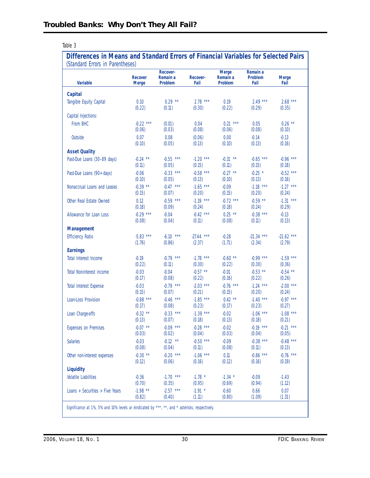|--|--|

# **Differences in Means and Standard Errors of Financial Variables for Selected Pairs**  (Standard Errors in Parentheses)

| Oldinaru Erruis III Parentieses)<br><b>Variable</b>                                            | <b>Recover</b><br><b>Merge</b> | Recover-<br>Remain a<br><b>Problem</b> | <b>Recover-</b><br>Fail | <b>Merge</b><br>Remain a<br><b>Problem</b> | Remain a<br>Problem<br>Fail | <b>Merge</b><br>Fail |
|------------------------------------------------------------------------------------------------|--------------------------------|----------------------------------------|-------------------------|--------------------------------------------|-----------------------------|----------------------|
|                                                                                                |                                |                                        |                         |                                            |                             |                      |
| <b>Capital</b>                                                                                 | 0.10                           | $0.29***$                              | $2.78$ ***              | 0.19                                       | $2.49***$                   | $2.68***$            |
| Tangible Equity Capital                                                                        | (0.22)                         | (0.11)                                 | (0.30)                  | (0.22)                                     | (0.29)                      | (0.35)               |
| Capital Injections:                                                                            |                                |                                        |                         |                                            |                             |                      |
| From BHC                                                                                       | $-0.22$ ***                    | (0.01)                                 | 0.04                    | $0.21***$                                  | 0.05                        | $0.26$ **            |
|                                                                                                | (0.06)                         | (0.03)                                 | (0.08)                  | (0.06)                                     | (0.08)                      | (0.10)               |
| Outside                                                                                        | 0.07                           | 0.08                                   | (0.06)                  | 0.00                                       | $-0.14$                     | $-0.13$              |
|                                                                                                | (0.10)                         | (0.05)                                 | (0.13)                  | (0.10)                                     | (0.13)                      | (0.16)               |
| <b>Asset Quality</b>                                                                           |                                |                                        |                         |                                            |                             |                      |
| Past-Due Loans (30-89 days)                                                                    | $-0.24$ **                     | $-0.55$ ***                            | $-1.20$ ***             | $-0.31$ **                                 | $-0.65$ ***                 | $-0.96$ ***          |
|                                                                                                | (0.11)                         | (0.05)                                 | (0.15)                  | (0.11)                                     | (0.15)                      | (0.18)               |
| Past-Due Loans (90+ days)                                                                      | $-0.06$                        | $-0.33$ ***                            | $-0.58$ ***             | $-0.27$ **                                 | $-0.25$ *                   | $-0.52$ ***          |
|                                                                                                | (0.10)                         | (0.05)                                 | (0.13)                  | (0.10)                                     | (0.13)                      | (0.16)               |
| Nonaccrual Loans and Leases                                                                    | $-0.39$ **                     | $-0.47***$                             | $-1.65$ ***             | $-0.09$                                    | $-1.18$ ***                 | $-1.27$ ***          |
|                                                                                                | (0.15)                         | (0.07)                                 | (0.20)                  | (0.15)                                     | (0.20)                      | (0.24)               |
| Other Real Estate Owned                                                                        | 0.12                           | $-0.59$ ***                            | $-1.19$ ***             | $-0.72$ ***                                | $-0.59$ **                  | $-1.31$ ***          |
|                                                                                                | (0.18)                         | (0.09)                                 | (0.24)                  | (0.18)                                     | (0.24)                      | (0.29)               |
| Allowance for Loan Loss                                                                        | $-0.29$ ***                    | $-0.04$                                | $-0.42$ ***             | $0.25$ **                                  | $-0.38$ ***                 | $-0.13$              |
|                                                                                                | (0.08)                         | (0.04)                                 | (0.11)                  | (0.08)                                     | (0.11)                      | (0.13)               |
| <b>Management</b>                                                                              |                                |                                        |                         |                                            |                             |                      |
| <b>Efficiency Ratio</b>                                                                        | $-5.83$ ***                    | $-6.10$ ***                            | $-27.44$ ***            | $-0.28$                                    | $-21.34$ ***                | $-21.62$ ***         |
|                                                                                                | (1.76)                         | (0.86)                                 | (2.37)                  | (1.71)                                     | (2.34)                      | (2.79)               |
| <b>Earnings</b>                                                                                |                                |                                        |                         |                                            |                             |                      |
| Total Interest Income                                                                          | $-0.19$                        | $-0.79$ ***                            | $-1.78$ ***             | $-0.60$ **                                 | $-0.99$ ***                 | $-1.59$ ***          |
|                                                                                                | (0.22)                         | (0.11)                                 | (0.30)                  | (0.22)                                     | (0.30)                      | (0.36)               |
| <b>Total Noninterest income</b>                                                                | $-0.03$                        | $-0.04$                                | $-0.57$ **              | $-0.01$                                    | $-0.53$ **                  | $-0.54$ **           |
|                                                                                                | (0.17)                         | (0.08)                                 | (0.22)                  | (0.16)                                     | (0.22)                      | (0.26)               |
| <b>Total Interest Expense</b>                                                                  | $-0.03$                        | $-0.79$ ***                            | $-2.03$ ***             | $-0.76$ ***                                | $-1.24$ ***                 | $-2.00$ ***          |
|                                                                                                | (0.15)                         | (0.07)                                 | (0.21)                  | (0.15)                                     | (0.20)                      | (0.24)               |
| Loan-Loss Provision                                                                            | $-0.88$ ***                    | $-0.46$ ***                            | $-1.85$ ***             | $0.42$ **                                  | $-1.40$ ***                 | $-0.97***$           |
|                                                                                                | (0.17)                         | (0.08)                                 | (0.23)                  | (0.17)                                     | (0.23)                      | (0.27)               |
| Loan Charge-offs                                                                               | $-0.32$ **                     | $-0.33$ ***                            | $-1.39$ ***             | $-0.02$                                    | $-1.06$ ***                 | $-1.08$ ***          |
|                                                                                                | (0.13)                         | (0.07)                                 | (0.18)                  | (0.13)                                     | (0.18)                      | (0.21)               |
| <b>Expenses on Premises</b>                                                                    | $-0.07$ **                     | $-0.09$ ***                            | $-0.28$ ***             | $-0.02$                                    | $-0.19$ ***                 | $-0.21$ ***          |
|                                                                                                | (0.03)                         | (0.02)                                 | (0.04)                  | (0.03)                                     | (0.04)                      | (0.05)               |
| <b>Salaries</b>                                                                                | $-0.03$                        | $-0.12$ **                             | $-0.50$ ***             | $-0.09$                                    | $-0.38$ ***                 | $-0.48$ ***          |
|                                                                                                | (0.08)                         | (0.04)                                 | (0.11)                  | (0.08)                                     | (0.11)                      | (0.13)               |
| Other non-interest expenses                                                                    | $-0.30$ **                     | $-0.20$ ***                            | $-1.06$ ***             | 0.11                                       | $-0.86$ ***                 | $-0.76$ ***          |
|                                                                                                | (0.12)                         | (0.06)                                 | (0.16)                  | (0.12)                                     | (0.16)                      | (0.19)               |
| <b>Liquidity</b>                                                                               |                                |                                        |                         |                                            |                             |                      |
| <b>Volatile Liabilities</b>                                                                    | $-0.36$                        | $-1.70$ ***                            | $-1.78$ *               | $-1.34$ *                                  | $-0.09$                     | $-1.43$              |
|                                                                                                | (0.70)                         | (0.35)                                 | (0.95)                  | (0.69)                                     | (0.94)                      | (1.12)               |
| Loans + Securities $>$ Five Years                                                              | $-1.98$ **                     | $-2.57$ ***                            | $-1.91$ *               | $-0.60$                                    | 0.66                        | 0.07                 |
|                                                                                                | (0.82)                         | (0.40)                                 | (1.11)                  | (0.80)                                     | (1.09)                      | (1.31)               |
| Significance at 1%, 5% and 10% levels ar eindicated by ***, **, and * asterisks, respectively. |                                |                                        |                         |                                            |                             |                      |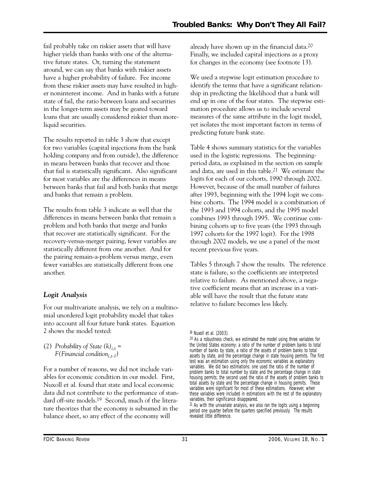tive future states. Or, turning the statement fail probably take on riskier assets that will have higher yields than banks with one of the alternaaround, we can say that banks with riskier assets have a higher probability of failure. Fee income from these riskier assets may have resulted in higher noninterest income. And in banks with a future state of fail, the ratio between loans and securities in the longer-term assets may be geared toward loans that are usually considered riskier than moreliquid securities.

The results reported in table 3 show that except for two variables (capital injections from the bank holding company and from outside), the difference in means between banks that recover and those that fail is statistically significant. Also significant for most variables are the differences in means between banks that fail and both banks that merge and banks that remain a problem.

 statistically different from one another. And for The results from table 3 indicate as well that the differences in means between banks that remain a problem and both banks that merge and banks that recover are statistically significant. For the recovery-versus-merger pairing, fewer variables are the pairing remain-a-problem versus merge, even fewer variables are statistically different from one another.

# *Logit Analysis*

For our multivariate analysis, we rely on a multinomial unordered logit probability model that takes into account all four future bank states. Equation 2 shows the model tested:

(2) Probability of State  $(k)$ <sub>it</sub> = *F*(*Financial condition*<sub>*i,t-1</sub>*)</sub>

For a number of reasons, we did not include variables for economic condition in our model. First, Nuxoll et al. found that state and local economic data did not contribute to the performance of standard off-site models.19 Second, much of the literature theorizes that the economy is subsumed in the balance sheet, so any effect of the economy will

already have shown up in the financial data.20 Finally, we included capital injections as a proxy for changes in the economy (see footnote 13).

We used a stepwise logit estimation procedure to identify the terms that have a significant relationship in predicting the likelihood that a bank will end up in one of the four states. The stepwise estimation procedure allows us to include several measures of the same attribute in the logit model, yet isolates the most important factors in terms of predicting future bank state.

Table 4 shows summary statistics for the variables used in the logistic regressions. The beginningperiod data, as explained in the section on sample and data, are used in this table.21 We estimate the logits for each of our cohorts, 1990 through 2002. However, because of the small number of failures after 1993, beginning with the 1994 logit we combine cohorts. The 1994 model is a combination of the 1993 and 1994 cohorts, and the 1995 model combines 1993 through 1995. We continue combining cohorts up to five years (the 1993 through 1997 cohorts for the 1997 logit). For the 1998 through 2002 models, we use a panel of the most recent previous five years.

Tables 5 through 7 show the results. The reference state is failure, so the coefficients are interpreted relative to failure. As mentioned above, a negative coefficient means that an increase in a variable will have the result that the future state relative to failure becomes less likely.

21 As with the univariate analysis, we also ran the logits using a beginning period one quarter before the quarters specified previously. The results revealed little difference.

<sup>19</sup> Nuxoll et al. (2003).

<sup>20</sup> As a robustness check, we estimated the model using three variables for the United States economy: a ratio of the number of problem banks to total number of banks by state, a ratio of the assets of problem banks to total assets by state, and the percentage change in state housing permits. The first test was an estimation using only the economic variables as explanatory variables. We did two estimations: one used the ratio of the number of problem banks to total number by state and the percentage change in state housing permits; the second used the ratio of the assets of problem banks to total assets by state and the percentage change in housing permits. These variables were significant for most of these estimations. However, when these variables were included in estimations with the rest of the explanatory variables, their significance disappeared.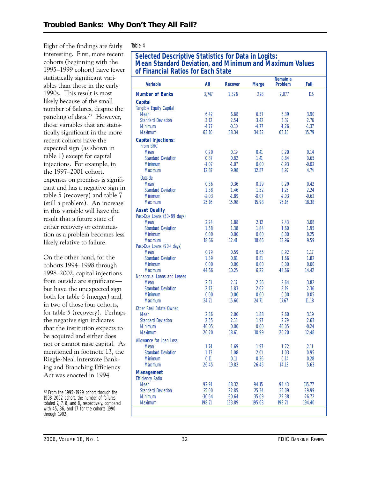Eight of the findings are fairly interesting. First, more recent cohorts (beginning with the 1995–1999 cohort) have fewer statistically significant variables than those in the early 1990s. This result is most likely because of the small number of failures, despite the paneling of data.22 However, those variables that are statistically significant in the more recent cohorts have the expected sign (as shown in table 1) except for capital injections. For example, in the 1997–2001 cohort, expenses on premises is significant and has a negative sign in table 5 (recovery) and table 7 (still a problem). An increase in this variable will have the result that a future state of either recovery or continuation as a problem becomes less likely relative to failure.

On the other hand, for the cohorts 1994–1998 through 1998–2002, capital injections from outside are significant but have the unexpected sign both for table 6 (merger) and, in two of those four cohorts, for table 5 (recovery). Perhaps the negative sign indicates that the institution expects to be acquired and either does not or cannot raise capital. As mentioned in footnote 13, the Riegle-Neal Interstate Banking and Branching Efficiency Act was enacted in 1994.

22 From the 1995–1999 cohort through the 1998–2002 cohort, the number of failures totaled 7, 7, 8, and 8, respectively, compared with 45, 36, and 17 for the cohorts 1990 through 1992.

### Table 4

# **Selected Descriptive Statistics for Data in Logits: Mean Standard Deviation, and Minimum and Maximum Values of Financial Ratios for Each State**

|                                              |                  |                |               | of Financial Ratios for Each State |                  |  |  |  |  |  |  |  |
|----------------------------------------------|------------------|----------------|---------------|------------------------------------|------------------|--|--|--|--|--|--|--|
| <b>Variable</b>                              | All              | <b>Recover</b> | <b>Merge</b>  | Remain a<br>Problem                | Fail             |  |  |  |  |  |  |  |
| <b>Number of Banks</b>                       | 3,747            | 1,326          | 228           | 2,077                              | 116              |  |  |  |  |  |  |  |
| <b>Capital</b>                               |                  |                |               |                                    |                  |  |  |  |  |  |  |  |
| Tangible Equity Capital                      |                  |                |               |                                    |                  |  |  |  |  |  |  |  |
| <b>Mean</b>                                  | 6.42             | 6.68           | 6.57          | 6.39                               | 3.90             |  |  |  |  |  |  |  |
| <b>Standard Deviation</b>                    | 3.12             | 2.54           | 3.42          | 3.37                               | 2.76             |  |  |  |  |  |  |  |
| <b>Minimum</b>                               | $-4.77$<br>63.10 | $-0.10$        | $-4.77$       | $-1.26$<br>63.10                   | $-1.37$<br>15.79 |  |  |  |  |  |  |  |
| <b>Maximum</b>                               |                  | 38.34          | 34.52         |                                    |                  |  |  |  |  |  |  |  |
| <b>Capital Injections:</b><br>From BHC       |                  |                |               |                                    |                  |  |  |  |  |  |  |  |
| Mean                                         | 0.20             | 0.19           | 0.41          | 0.20                               | 0.14             |  |  |  |  |  |  |  |
| <b>Standard Deviation</b>                    | 0.87             | 0.82           | 1.41          | 0.84                               | 0.65             |  |  |  |  |  |  |  |
| <b>Minimum</b>                               | $-1.07$          | $-1.07$        | 0.00          | $-0.93$                            | $-0.02$          |  |  |  |  |  |  |  |
| <b>Maximum</b>                               | 12.87            | 9.98           | 12.87         | 8.97                               | 4.74             |  |  |  |  |  |  |  |
| Outside                                      |                  |                |               |                                    |                  |  |  |  |  |  |  |  |
| <b>Mean</b>                                  | 0.36             | 0.36           | 0.29          | 0.29                               | 0.42             |  |  |  |  |  |  |  |
| <b>Standard Deviation</b>                    | 1.38             | 1.46           | 1.52          | 1.25                               | 2.24             |  |  |  |  |  |  |  |
| <b>Minimum</b>                               | $-2.03$          | $-1.89$        | $-0.07$       | $-2.03$                            | $-0.62$          |  |  |  |  |  |  |  |
| <b>Maximum</b>                               | 25.16            | 15.98          | 15.98         | 25.16                              | 18.38            |  |  |  |  |  |  |  |
| <b>Asset Quality</b>                         |                  |                |               |                                    |                  |  |  |  |  |  |  |  |
| Past-Due Loans (30-89 days)                  |                  |                |               |                                    |                  |  |  |  |  |  |  |  |
| Mean<br><b>Standard Deviation</b>            | 2.24<br>1.58     | 1.88<br>1.38   | 2.12<br>1.84  | 2.43<br>1.60                       | 3.08<br>1.95     |  |  |  |  |  |  |  |
| <b>Minimum</b>                               | 0.00             | 0.00           | 0.00          | 0.00                               | 0.25             |  |  |  |  |  |  |  |
| Maximum                                      | 18.66            | 12.41          | 18.66         | 13.96                              | 9.59             |  |  |  |  |  |  |  |
| Past-Due Loans (90+ days)                    |                  |                |               |                                    |                  |  |  |  |  |  |  |  |
| Mean                                         | 0.79             | 0.59           | 0.65          | 0.92                               | 1.17             |  |  |  |  |  |  |  |
| <b>Standard Deviation</b>                    | 1.39             | 0.81           | 0.81          | 1.66                               | 1.82             |  |  |  |  |  |  |  |
| <b>Minimum</b>                               | 0.00             | 0.00           | 0.00          | 0.00                               | 0.00             |  |  |  |  |  |  |  |
| <b>Maximum</b>                               | 44.66            | 10.25          | 6.22          | 44.66                              | 14.42            |  |  |  |  |  |  |  |
| Nonaccrual Loans and Leases<br>Mean          | 2.51             | 2.17           | 2.56          | 2.64                               | 3.82             |  |  |  |  |  |  |  |
| <b>Standard Deviation</b>                    | 2.13             | 1.83           | 2.62          | 2.19                               | 2.36             |  |  |  |  |  |  |  |
| Minimum                                      | 0.00             | 0.00           | 0.00          | 0.00                               | 0.05             |  |  |  |  |  |  |  |
| <b>Maximum</b>                               | 24.71            | 15.60          | 24.71         | 17.67                              | 11.18            |  |  |  |  |  |  |  |
| Other Real Estate Owned                      |                  |                |               |                                    |                  |  |  |  |  |  |  |  |
| <b>Mean</b>                                  | 2.36             | 2.00           | 1.88          | 2.60                               | 3.19             |  |  |  |  |  |  |  |
| <b>Standard Deviation</b>                    | 2.55             | 2.13           | 1.97          | 2.79                               | 2.63             |  |  |  |  |  |  |  |
| <b>Minimum</b>                               | $-10.05$         | 0.00           | 0.00          | $-10.05$                           | $-0.24$          |  |  |  |  |  |  |  |
| <b>Maximum</b>                               | 20.20            | 18.61          | 10.99         | 20.20                              | 12.48            |  |  |  |  |  |  |  |
| Allowance for Loan Loss                      |                  |                |               |                                    |                  |  |  |  |  |  |  |  |
| <b>Mean</b>                                  | 1.74             | 1.69           | 1.97          | 1.72                               | 2.11             |  |  |  |  |  |  |  |
| <b>Standard Deviation</b>                    | 1.13             | 1.08           | 2.01          | 1.03                               | 0.95             |  |  |  |  |  |  |  |
| Minimum<br>Maximum                           | 0.11<br>26.45    | 0.11<br>19.82  | 0.36<br>26.45 | 0.14<br>14.13                      | 0.28<br>5.63     |  |  |  |  |  |  |  |
|                                              |                  |                |               |                                    |                  |  |  |  |  |  |  |  |
| <b>Management</b><br><b>Efficiency Ratio</b> |                  |                |               |                                    |                  |  |  |  |  |  |  |  |
| Mean                                         | 92.91            | 88.32          | 94.15         | 94.43                              | 115.77           |  |  |  |  |  |  |  |
| <b>Standard Deviation</b>                    | 25.00            | 22.85          | 25.34         | 25.09                              | 29.99            |  |  |  |  |  |  |  |
| <b>Minimum</b>                               | $-30.64$         | $-30.64$       | 35.09         | 29.38                              | 26.72            |  |  |  |  |  |  |  |
| Maximum                                      | 198.71           | 193.89         | 195.03        | 198.71                             | 194.40           |  |  |  |  |  |  |  |
|                                              |                  |                |               |                                    |                  |  |  |  |  |  |  |  |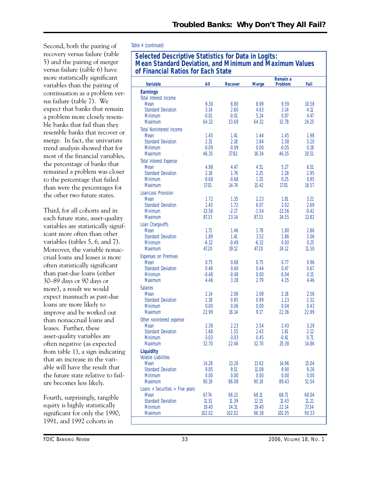Second, both the pairing of recovery versus failure (table 5) and the pairing of merger versus failure (table 6) have more statistically significant variables than the pairing of continuation as a problem versus failure (table 7). We expect that banks that remain a problem more closely resemble banks that fail than they resemble banks that recover or merge. In fact, the univariate trend analysis showed that for most of the financial variables, the percentage of banks that remained a problem was closer to the percentage that failed than were the percentages for the other two future states.

Third, for all cohorts and in each future state, asset-quality variables are statistically significant more often than other variables (tables 5, 6, and 7). Moreover, the variable nonaccrual loans and leases is more often statistically significant than past-due loans (either 30–89 days or 90 days or more), a result we would expect inasmuch as past-due loans are more likely to improve and be worked out than nonaccrual loans and leases. Further, these asset-quality variables are often negative (as expected from table 1), a sign indicating that an increase in the variable will have the result that the future state relative to failure becomes less likely.

Fourth, surprisingly, tangible equity is highly statistically significant for only the 1990, 1991, and 1992 cohorts in

### Table 4 *(continued)*

# **Selected Descriptive Statistics for Data in Logits: Mean Standard Deviation, and Minimum and Maximum Values of Financial Ratios for Each State**

| <b>Variable</b>                          | All      | <b>Recover</b> | <b>Merge</b> | Remain a<br>Problem | Fail    |
|------------------------------------------|----------|----------------|--------------|---------------------|---------|
| <b>Earnings</b><br>Total Interest Income |          |                |              |                     |         |
| Mean                                     | 9.30     | 8.80           | 8.99         | 9.59                | 10.58   |
| <b>Standard Deviation</b>                | 3.14     | 2.60           | 4.63         | 3.14                | 4.11    |
| <b>Minimum</b>                           | $-0.01$  | $-0.01$        | 5.24         | 0.97                | 4.47    |
| <b>Maximum</b>                           | 64.32    | 33.69          | 64.32        | 32.78               | 26.25   |
|                                          |          |                |              |                     |         |
| <b>Total Noninterest income</b>          |          |                |              |                     |         |
| Mean                                     | 1.45     | 1.41           | 1.44         | 1.45                | 1.98    |
| <b>Standard Deviation</b>                | 2.31     | 2.18           | 1.84         | 2.38                | 3.20    |
| <b>Minimum</b>                           | $-0.09$  | $-0.09$        | 0.00         | $-0.05$             | 0.18    |
| <b>Maximum</b>                           | 46.35    | 37.82          | 16.34        | 46.35               | 30.51   |
| <b>Total Interest Expense</b>            |          |                |              |                     |         |
| Mean                                     | 4.98     | 4.47           | 4.51         | 5.27                | 6.51    |
| <b>Standard Deviation</b>                | 2.18     | 1.76           | 2.25         | 2.28                | 2.95    |
| <b>Minimum</b>                           | $-0.68$  | $-0.68$        | 1.25         | 0.25                | 0.95    |
| <b>Maximum</b>                           | 17.01    | 14.74          | 15.42        | 17.01               | 16.57   |
| Loan-Loss Provision                      |          |                |              |                     |         |
| Mean                                     | 1.72     | 1.35           | 2.23         | 1.81                | 3.21    |
| <b>Standard Deviation</b>                | 2.43     | 1.72           | 6.07         | 2.02                | 2.69    |
| <b>Minimum</b>                           | $-13.56$ | $-2.17$        | $-1.54$      | $-13.56$            | $-0.42$ |
| Maximum                                  | 87.33    | 23.14          | 87.33        | 24.55               | 13.82   |
|                                          |          |                |              |                     |         |
| Loan Charge-offs                         |          |                |              |                     |         |
| Mean                                     | 1.71     | 1.46           | 1.78         | 1.80                | 2.86    |
| <b>Standard Deviation</b>                | 1.89     | 1.41           | 3.52         | 1.86                | 2.06    |
| <b>Minimum</b>                           | $-6.32$  | $-0.49$        | $-6.32$      | 0.00                | 0.25    |
| <b>Maximum</b>                           | 47.20    | 19.12          | 47.20        | 24.12               | 11.50   |
| <b>Expenses on Premises</b>              |          |                |              |                     |         |
| Mean                                     | 0.75     | 0.68           | 0.75         | 0.77                | 0.96    |
| <b>Standard Deviation</b>                | 0.46     | 0.40           | 0.44         | 0.47                | 0.67    |
| <b>Minimum</b>                           | $-0.48$  | $-0.48$        | 0.00         | $-0.04$             | 0.15    |
| <b>Maximum</b>                           | 4.46     | 3.38           | 2.79         | 4.35                | 4.46    |
|                                          |          |                |              |                     |         |
| <b>Salaries</b>                          |          |                |              |                     |         |
| Mean                                     | 2.14     | 2.06           | 2.08         | 2.18                | 2.56    |
| <b>Standard Deviation</b>                | 1.18     | 0.95           | 0.99         | 1.23                | 2.32    |
| <b>Minimum</b>                           | 0.00     | 0.06           | 0.00         | 0.04                | 0.43    |
| Maximum                                  | 22.99    | 16.14          | 9.17         | 22.36               | 22.99   |
| Other noninterest expense                |          |                |              |                     |         |
| Mean                                     | 2.39     | 2.23           | 2.54         | 2.43                | 3.29    |
| <b>Standard Deviation</b>                | 1.68     | 1.55           | 2.43         | 1.61                | 2.12    |
| Minimum                                  | $-3.03$  | $-3.03$        | 0.45         | $-0.41$             | 0.71    |
| <b>Maximum</b>                           | 32.70    | 22.46          | 32.70        | 25.38               | 14.86   |
| <b>Liquidity</b>                         |          |                |              |                     |         |
| <b>Volatile Liabilities</b>              |          |                |              |                     |         |
| Mean                                     | 14.28    | 13.26          | 13.62        | 14.96               | 15.04   |
| <b>Standard Deviation</b>                | 9.85     | 9.51           | 11.08        | 9.90                | 9.26    |
| <b>Minimum</b>                           | 0.00     | 0.00           | 0.00         | 0.00                | 0.00    |
| Maximum                                  | 90.19    | 86.08          | 90.19        | 89.43               | 51.54   |
|                                          |          |                |              |                     |         |
| Loans + Securities > Five years          |          |                |              |                     |         |
| Mean                                     | 67.74    | 66.13          | 68.11        | 68.71               | 68.04   |
| <b>Standard Deviation</b>                | 11.51    | 11.39          | 12.15        | 11.43               | 11.21   |
| Minimum                                  | 19.40    | 24.31          | 19.40        | 22.14               | 37.34   |
| Maximum                                  | 102.02   | 102.02         | 96.38        | 101.05              | 90.33   |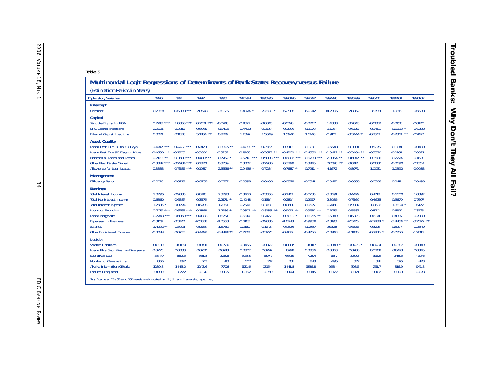| Multinomial Logit Regressions of Determinants of Bank State: Recovery versus Failure<br>(Estimation Period in Years)                                                                                                                          |                                                                                                          |                                                                                                      |                                                                                             |                                                                                               |                                                                                             |                                                                                          |                                                                                                    |                                                                                                     |                                                                                             |                                                                                             |                                                                                               |                                                                                                |                                                                                                |
|-----------------------------------------------------------------------------------------------------------------------------------------------------------------------------------------------------------------------------------------------|----------------------------------------------------------------------------------------------------------|------------------------------------------------------------------------------------------------------|---------------------------------------------------------------------------------------------|-----------------------------------------------------------------------------------------------|---------------------------------------------------------------------------------------------|------------------------------------------------------------------------------------------|----------------------------------------------------------------------------------------------------|-----------------------------------------------------------------------------------------------------|---------------------------------------------------------------------------------------------|---------------------------------------------------------------------------------------------|-----------------------------------------------------------------------------------------------|------------------------------------------------------------------------------------------------|------------------------------------------------------------------------------------------------|
| <b>Explanatory Variables</b>                                                                                                                                                                                                                  | 1990                                                                                                     | 1991                                                                                                 | 1992                                                                                        | 1993                                                                                          | 1993-94                                                                                     | 1993-95                                                                                  | 1993-96                                                                                            | 1993-97                                                                                             | 1994-98                                                                                     | 1995-99                                                                                     | 1996-00                                                                                       | 1997-01                                                                                        | 1998-02                                                                                        |
| Intercept<br>Constant                                                                                                                                                                                                                         | $-0.2388$                                                                                                | 10.6388 ***                                                                                          | $-2.0548$                                                                                   | $-2.8325$                                                                                     | 8.4024                                                                                      | 7.0800                                                                                   | 6.2905                                                                                             | 6.0942                                                                                              | 14.2305                                                                                     | $-2.8352$                                                                                   | 3.9788                                                                                        | 1.0819                                                                                         | $-0.6638$                                                                                      |
| Capital<br>Tangible Equity for PCA<br><b>BHC Capital Injections</b><br><b>External Capital Injections</b>                                                                                                                                     | 0.7743<br>***<br>2.0621<br>0.0021                                                                        | $1.0350***$<br>$-0.3816$<br>0.1636                                                                   | 0.707<br>0.6065<br>$5.1764$ **                                                              | $-0.1248$<br>0.5490<br>0.8219                                                                 | $-0.1827$<br>0.4402<br>1.1397                                                               | $-0.0345$<br>0.3137<br>1.5649                                                            | $-0.0198$<br>0.3806<br>1.5940                                                                      | $-0.0262$<br>0.3978<br>1.6146                                                                       | 1.4338<br>$-3.1364$<br>$-0.9101$                                                            | 0.2043<br>$-0.6126$<br>$-0.3444$                                                            | $-0.0802$<br>$-0.3481$<br>$-0.2561$                                                           | $-0.0156$<br>$-0.6839$ *<br>$-0.2861$                                                          | $-0.0120$<br>$-0.6238$<br>$-0.2477$                                                            |
| <b>Asset Quality</b><br>Loans Past Due 30 to 89 Days<br>Loans Past Due 90 Days or More<br>Nonaccrual Loans and Leases<br>Other Real Estate Owned<br>Allowance for Loan Losses                                                                 | $-0.4142$ ***<br>$-0.4630***$<br>$-0.2163$ **<br>$-0.3847$ ***<br>0.3333                                 | ***<br>$-0.4417$<br>$-0.1805$<br>$-0.3689$ ***<br>$-0.2984$<br>***<br>$0.7585$ ***                   | $-0.2429$<br>$-0.5600$<br>$-0.4007$ **<br>0.1820<br>0.1987                                  | $-0.8305**$<br>$-0.3232$<br>$-0.7762$<br>0.3759<br>2.5538 **                                  | $-0.4773$ **<br>$-0.1968$<br>$-0.6210$ ***<br>0.3007<br>$0.9456$ *                          | $-0.2567$<br>$-0.3677$<br>**<br>$-0.5803$ ***<br>0.2900<br>0.7284                        | $-0.1913$<br>$-0.4260$ ***<br>$-0.6002$ ***<br>0.3299<br>0.7687                                    | $-0.1730$<br>$-0.4530$ ***<br>$-0.6283$<br>***<br>0.3245<br>0.7911                                  | 0.5548<br>$-1.0422$ **<br>$-2.9354$ **<br>$7.6096$ **<br>4.1672                             | 0.3001<br>$-0.5484$ ***<br>$-0.6012$ **<br>0.6112<br>0.8971                                 | 0.5276<br>$-0.3320$<br>$-0.3506$<br>0.0660<br>1.0031                                          | 0.1184<br>$-0.1901$<br>$-0.2224$<br>$-0.0690$<br>1.0392                                        | 0.0400<br>0.0021<br>$-0.1628$<br>$-0.1354$<br>0.9083                                           |
| <b>Management</b><br><b>Efficiency Ratio</b>                                                                                                                                                                                                  | $-0.0010$                                                                                                | $-0.0218$                                                                                            | $-0.0233$                                                                                   | 0.0277                                                                                        | $-0.0398$                                                                                   | $-0.0406$                                                                                | $-0.0328$                                                                                          | $-0.0341$                                                                                           | $-0.0417$                                                                                   | 0.0685                                                                                      | 0.0308                                                                                        | 0.0411                                                                                         | 0.0498                                                                                         |
| <b>Earnings</b><br><b>Total Interest Income</b><br><b>Total Noninterest Income</b><br><b>Total Interest Expense</b><br>Loan-loss Provision<br>Loan Charge-offs<br><b>Expenses on Premises</b><br><b>Salaries</b><br>Other Noninterest Expense | 1.0295<br>0.6360<br>$-1.2585$<br>$-0.7479$ ***<br>$0.7248$ ***<br>$-0.3109$<br>$-1.4292$ **<br>$-0.3044$ | $-0.9335$<br>$-0.6387$<br>$-0.0224$<br>$-0.6765$ ***<br>$0.6950***$<br>$-0.3120$<br>0.5001<br>0.0733 | 0.6710<br>0.3575<br>$-0.6493$<br>$-0.1868$<br>$-0.4833$<br>$-2.5638$<br>0.9138<br>$-0.4493$ | 2.3293<br>2.217<br>$-1.2851$<br>$-1.2186$<br>0.8751<br>$-1.7553$<br>$-1.6762$<br>$-3.4496$ ** | $-0.3460$<br>0.4048<br>0.7541<br>$-0.9301$<br>0.6614<br>$-0.6163$<br>$-0.0150$<br>$-0.7108$ | $-0.3550$<br>0.1514<br>0.3780<br>$-0.8185$<br>0.7422<br>$-0.9336$<br>0.1143<br>$-0.3225$ | $-0.1461$<br>0.2814<br>0.0680<br>$-0.9011$<br>$*$<br>0.7013<br>$-1.0243$<br>$-0.0836$<br>$-0.4617$ | $-0.1235$<br>0.2917<br>0.0577<br>$-0.9159$ **<br>$0.6955$ **<br>$-0.9938$<br>$-0.1369$<br>$-0.4250$ | $-3.0691$<br>$-2.3035$<br>$-0.7468$<br>0.1979<br>1.5349<br>$-2.3193$<br>7.9328<br>$-0.0248$ | 0.4429<br>0.7560<br>$-0.9387$<br>$-0.5587$<br>0.6323<br>$-2.3415$<br>$-0.6335$<br>$-1.1180$ | 0.4718<br>0.4635<br>$-1.0633$<br>$-0.8741$<br>0.6174<br>$-2.7488$<br>$-0.3216$<br>$-0.7435$ * | 0.6600<br>0.5670<br>$-1.3890$<br>$-0.6199$<br>0.4337<br>$-3.4456$ **<br>$-0.3277$<br>$-0.7250$ | 1.0897<br>0.7607<br>$-1.6172$<br>$-0.3175$<br>0.2000<br>$-3.7522$ **<br>$-0.2640$<br>$-1.2015$ |
| Liquidity<br><b>Volatile Liabilities</b><br>Loans Plus Securities >= Five years<br>Log Likelihood<br>Number of Observations<br>Akaike Information Criteria<br>Pseudo R squared                                                                | $-0.0130$<br>0.0225<br>$-584.9$<br>866<br>1289.8<br>0.090                                                | 0.0180<br>0.0033<br>$-662.5$<br>897<br>1445.0<br>0.222                                               | 0.0191<br>0.0730<br>$-561.8$<br>713<br>1243.6<br>0.170                                      | $-0.0726$<br>0.0743<br>$-328.8$<br>413<br>777.6<br>0.195                                      | $-0.0456$<br>0.0807<br>$-505.8$<br>607<br>1131.6<br>0.162                                   | $-0.0072$<br>0.0792<br>$-597.7$<br>717<br>1315.4<br>0.159                                | 0.0087<br>.0798<br>$-660.9$<br>781<br>1441.8<br>0.144                                              | 0.0117<br>0.0856<br>$-708.4$<br>843<br>1536.8<br>0.145                                              | $-0.3340$<br>0.0863<br>$-416.7$<br>495<br>953.4<br>0.172                                    | $-0.0723$<br>0.0708<br>$-339.3$<br>377<br>798.5<br>0.121                                    | $-0.0434$<br>0.0208<br>$-315.9$<br>341<br>751.7<br>0.102                                      | $-0.0387$<br>0.0473<br>$-348.5$<br>375<br>816.9<br>0.103                                       | $-0.0349$<br>0.0345<br>$-410.6$<br>428<br>941.3<br>0.078                                       |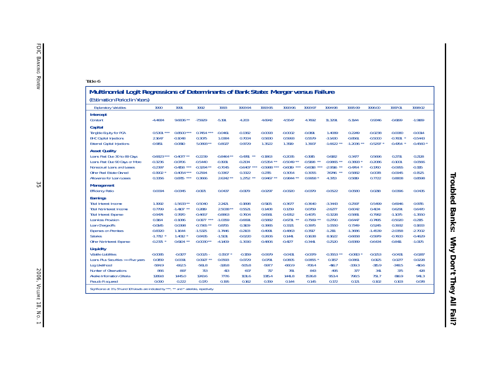#### Table 6

# **Multinomial Logit Regressions of Determinants of Bank State: Merger versus Failure**

(Estimation Period in Years)

| נכטמות ומנוטורר טרוטע וור וטמרטן                                                             |               |                    |              |              |                    |                  |                  |              |                   |           |           |             |             |
|----------------------------------------------------------------------------------------------|---------------|--------------------|--------------|--------------|--------------------|------------------|------------------|--------------|-------------------|-----------|-----------|-------------|-------------|
| <b>Explanatory Variables</b>                                                                 | 1990          | 1991               | 1992         | 1993         | 1993-94            | 1993-95          | 1993-96          | 1993-97      | 1994-98           | 1995-99   | 1996-00   | 1997-01     | 1998-02     |
| <b>Intercept</b>                                                                             |               |                    |              |              |                    |                  |                  |              |                   |           |           |             |             |
| Constant                                                                                     | $-4.4684$     | 9.6836 **          | $-7.5929$    | $-5.191$     | 4.203              | 4.6942           | 4.5547           | 4.7692       | 11.3291           | $-5.1144$ | 0.9346    | $-0.6199$   | $-1.9189$   |
| Capital                                                                                      |               |                    |              |              |                    |                  |                  |              |                   |           |           |             |             |
| Tangible Equity for PCA                                                                      | 0.5301        | $0.8500***$        | 0.7454       | $-0.0461$    | $-0.1382$          | $-0.0093$        | $-0.0002$        | $-0.0191$    | 1.4089            | 0.2249    | $-0.0238$ | $-0.0080$   | $-0.0014$   |
| <b>BHC Capital Injections</b>                                                                | 2.1647        | $-0.1048$          | 0.3075       | 1.0384       | 0.7004             | 0.5830           | 0.5993           | 0.5579       | $-3.1430$         | $-0.8561$ | $-0.5000$ | $-0.7831$ * | $-0.5443$   |
| <b>External Capital Injections</b>                                                           | $-0.9151$     | $-0.0810$          | 5.0893 **    | 0.8027       | 0.9729             | 1.3522           | 1.3519           | 1.3907       | $-1.6622$ **      | $-1.2036$ | $-0.5297$ | $-0.4764$   | $-0.4560$ * |
| <b>Asset Quality</b>                                                                         |               |                    |              |              |                    |                  |                  |              |                   |           |           |             |             |
| Loans Past Due 30 to 89 Days                                                                 | $-0.6823$ *** | $**$<br>$-0.4077$  | $-0.2239$    | $-0.8464$ ** | $-0.4781$<br>$***$ | $-0.1863$        | $-0.2035$        | $-0.1915$    | 0.6182            | 0.3477    | 0.5696    | 0.2731      | 0.2128      |
| Loans Past Due 90 Days or More                                                               | $-0.3236$     | $-0.0706$          | $-0.5440$    | $-0.1931$    | $-0.2134$          | $-0.5354$        | $-0.5049$ **     | $-0.5198$ ** | $-0.9865$<br>$**$ | $-0.3893$ | $-0.2086$ | $-0.1001$   | 0.0566      |
| Nonaccrual Loans and Leases                                                                  | $-0.2397$     | $***$<br>$-0.4158$ | $-0.3294$    | $-0.7045$    | $-0.6407$ ***      | $-0.5988$<br>*** | ***<br>$-0.6019$ | $-0.6018$    | $-2.9516$         | $-0.4764$ | $-0.1760$ | $-0.0955$   | $-0.1115$   |
| Other Real Estate Owned                                                                      | $-0.1902$     | $-0.4054$ ***      | 0.2594       | 0.3367       | 0.3322             | 0.2715           | 0.3054           | 0.3055       | 7.6746            | 0.5882    | 0.0078    | $-0.0945$   | $-0.1525$   |
| Allowance for Loan Losses                                                                    | 0.3356        | $0.8715$ ***       | 0.3666       | $2.6342$ **  | $1.2752$ **        | $0.9467$ **      | $0.9844$ **      | 0.9958 *     | 4.3713            | 0.5819    | 0.7722    | 0.8808      | 0.8598      |
| <b>Management</b>                                                                            |               |                    |              |              |                    |                  |                  |              |                   |           |           |             |             |
| <b>Efficiency Ratio</b>                                                                      | 0.0094        | $-0.0345$          | $-0.0171$    | 0.0437       | $-0.0179$          | $-0.0297$        | $-0.0320$        | $-0.0379$    | $-0.0522$         | 0.0580    | 0.0218    | 0.0396      | 0.0435      |
| <b>Earnings</b>                                                                              |               |                    |              |              |                    |                  |                  |              |                   |           |           |             |             |
| <b>Total Interest Income</b>                                                                 | 1.1992        | $-1.5633**$        | 0.5040       | 2.2421       | $-0.1898$          | $-0.5105$        | $-0.3677$        | $-0.3640$    | $-3.3443$         | 0.2597    | 0.5499    | 0.6946      | 0.9715      |
| <b>Total Noninterest Income</b>                                                              | 0.7799        | $-1.4107$ **       | 0.2819       | 2.5038 **    | 0.5521             | 0.1408           | 0.1259           | 0.0759       | $-2.6277$         | 0.6042    | 0.4134    | 0.6291      | 0.6470      |
| <b>Total Interest Expense</b>                                                                | $-0.9474$     | 0.7870             | $-0.4657$    | $-0.8863$    | 0.7604             | 0.6581           | 0.4352           | 0.4075       | $-0.3228$         | $-0.5881$ | $-0.7982$ | $-1.1075$   | $-1.3550$   |
| Loan-loss Provision                                                                          | 0.1164        | $-0.1086$          | 0.0177       | $-1.0359$    | $-0.6691$          | $-0.5882$        | $-0.6731$        | $-0.7569$ ** | 0.2790            | $-0.6447$ | $-0.7495$ | $-0.5020$   | $-0.2115$   |
| Loan Charge-offs                                                                             | $-0.0145$     | 0.0398             | $-0.7365$ ** | 0.8755       | 0.3109             | 0.3865           | 0.3321           | 0.3975       | 1.0550            | 0.7349    | 0.5245    | 0.3932      | 0.1833      |
| <b>Expenses on Premises</b>                                                                  | $-0.8320$     | 1.1644             | $-1.5325$    | $-1.7446$    | $-0.2103$          | $-0.4991$        | $-0.4863$        | $-0.3517$    | $-1.2111$         | $-1.3686$ | $-1.4539$ | $-2.0358$   | $-2.7002$   |
| <b>Salaries</b>                                                                              | $-1.7712$ *   | $1.4012$ *         | 0.8435       | $-1.5131$    | $-0.0220$          | 0.2606           | 0.1441           | 0.1638       | 8.1622            | $-0.6658$ | $-0.5979$ | $-0.7600$   | $-0.4629$   |
| Other Noninterest Expense                                                                    | $-0.2371$     | $***$<br>0.6104    | $-0.0030**$  | $-4.1409$    | $-1.3090$          | $-0.4806$        | $-0.4177$        | $-0.3441$    | 0.2520            | $-0.8389$ | $-0.6434$ | $-0.8411$   | $-1.0175$   |
| Liquidity                                                                                    |               |                    |              |              |                    |                  |                  |              |                   |           |           |             |             |
| <b>Volatile Liabilities</b>                                                                  | $-0.0085$     | $-0.0177$          | 0.0025       | 0.1507       | $-0.1159$          | $-0.0679$        | $-0.0431$        | $-0.0379$    | $-0.3553$ **      | $-0.0813$ | $-0.0253$ | $-0.0431$   | $-0.0287$   |
| Loans Plus Securities >= Five years                                                          | 0.0159        | 0.0091             | 0.0927       | 0.0593       | 0.0729             | 0.0791           | 0.0805           | $0.0855$ *   | 0.1157            | 0.0861    | 0.0125    | 0.0277      | 0.0228      |
| Log Likelihood                                                                               | $-584.9$      | $-662.5$           | $-561.8$     | $-328.8$     | $-505.8$           | $-597.7$         | $-660.9$         | $-708.4$     | $-416.7$          | $-339.3$  | $-315.9$  | $-348.5$    | $-410.6$    |
| Number of Observations                                                                       | 866           | 897                | 713          | 413          | 607                | 717              | 781              | 843          | 495               | 377       | 341       | 375         | 428         |
| Akaike Information Criteria                                                                  | 1289.8        | 1445.0             | 1243.6       | 777.6        | 1131.6             | 1315.4           | 1441.8           | 1536.8       | 953.4             | 798.5     | 751.7     | 816.9       | 941.3       |
| Pseudo R squared                                                                             | 0.090         | 0.222              | 0.170        | 0.195        | 0.162              | 0.159            | 0.144            | 0.145        | 0.172             | 0.121     | 0.102     | 0.103       | 0.078       |
| Significance at 1%, 5% and 10% levels are indicated by ***, ** and * asterisks, repectively. |               |                    |              |              |                    |                  |                  |              |                   |           |           |             |             |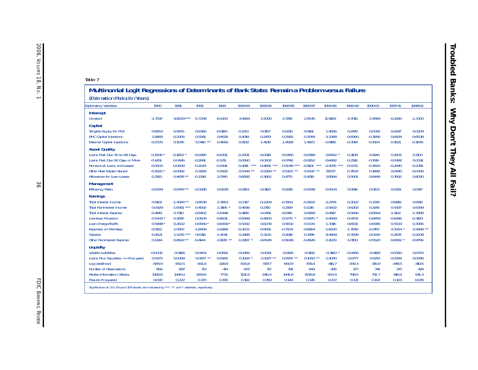| Table 7                                                                                                                                                                                                                                  |                                                                                           |                                                                                                         |                                                                                          |                                                                                                   |                                                                                          |                                                                                          |                                                                                             |                                                                                          |                                                                                          |                                                                                             |                                                                                          |                                                                                             |                                                                                                |
|------------------------------------------------------------------------------------------------------------------------------------------------------------------------------------------------------------------------------------------|-------------------------------------------------------------------------------------------|---------------------------------------------------------------------------------------------------------|------------------------------------------------------------------------------------------|---------------------------------------------------------------------------------------------------|------------------------------------------------------------------------------------------|------------------------------------------------------------------------------------------|---------------------------------------------------------------------------------------------|------------------------------------------------------------------------------------------|------------------------------------------------------------------------------------------|---------------------------------------------------------------------------------------------|------------------------------------------------------------------------------------------|---------------------------------------------------------------------------------------------|------------------------------------------------------------------------------------------------|
| Multinomial Logit Regressions of Determinants of Bank State: Remain a Problem versus Failure<br>(Estimation Period in Years)                                                                                                             |                                                                                           |                                                                                                         |                                                                                          |                                                                                                   |                                                                                          |                                                                                          |                                                                                             |                                                                                          |                                                                                          |                                                                                             |                                                                                          |                                                                                             |                                                                                                |
| <b>Explanatory Variables</b>                                                                                                                                                                                                             | 1990                                                                                      | 1991                                                                                                    | 1992                                                                                     | 1993                                                                                              | 1993-94                                                                                  | 1993-95                                                                                  | 1993-96                                                                                     | 1993-97                                                                                  | 1994-98                                                                                  | 1995-99                                                                                     | 1996-00                                                                                  | 1997-01                                                                                     | 1998-02                                                                                        |
| Intercept<br>Constant                                                                                                                                                                                                                    | $-1.7037$                                                                                 | 9.8229 ***                                                                                              | $-5.7298$                                                                                | $-8.1433$                                                                                         | 3.4994                                                                                   | 1.9090                                                                                   | 2.3718                                                                                      | 2.9545                                                                                   | 11.8183                                                                                  | $-4.7010$                                                                                   | 2.4569                                                                                   | $-0.1438$                                                                                   | $-1.3300$                                                                                      |
| <b>Capital</b><br>Tangible Equity for PCA<br><b>BHC</b> Capital Injections<br><b>External Capital Injections</b>                                                                                                                         | 0.6653<br>1.8868<br>$-0.2729$                                                             | 0.9255<br>$-0.2906$<br>0.1045                                                                           | 0.6366<br>0.5581<br>$5.0410$ **                                                          | $-0.0180$<br>0.8628<br>0.4656                                                                     | $-0.1213$<br>0.4019<br>0.9132                                                            | 0.0157<br>0.2479<br>1.4138                                                               | 0.0210<br>0.2982<br>1.4588                                                                  | 0.0161<br>0.3084<br>1.4872                                                               | 1.4656<br>$-3.3388$<br>$-0.9185$                                                         | 0.2476<br>$-0.8366$<br>$-0.3014$                                                            | 0.0092<br>$-0.3956$<br>$-0.1564$                                                         | 0.0247<br>$-0.6834$<br>$-0.1621$                                                            | 0.0209<br>$-0.6538$<br>$-0.1645$                                                               |
| <b>Asset Quality</b><br>Loans Past Due 30 to 89 Days<br>Loans Past Due 90 Days or More<br>Nonaccrual Loans and Leases<br>Other Real Estate Owned<br>Allowance for Loan Losses                                                            | $-0.1508$<br>$-0.1451$<br>$-0.0503$<br>$-0.1520$ *<br>0.2190                              | $-0.1852$<br>$-0.0449$<br>$-0.0609$<br>$-0.0992$<br>$0.4678$ **                                         | $-0.0386$<br>$-0.2691$<br>$-0.2043$<br>0.3269<br>$-0.1398$                               | $-0.6301$<br>$-0.1211$<br>$-0.5441$<br>0.5932<br>2.0740                                           | $-0.2901$<br>0.0590<br>$***$<br>$-0.491$<br>$0.5444$ **<br>0.6592                        | $-0.0618$<br>$-0.0202$<br>$-0.4661$ ***<br>$0.5269$ **<br>0.3662                         | $-0.0480$<br>$-0.0798$<br>$-0.5049$ ***<br>$0.5422$ **<br>0.4775                            | $-0.0389$<br>$-0.0852$<br>$***$<br>$-0.5101$<br>$0.5437$ **<br>0.4219                    | 0.6652<br>$-0.6682$<br>$-2.9075$ ***<br>7.8727<br>3.8584                                 | 0.3108<br>$-0.2518$<br>$-0.5721$<br>0.7603<br>0.5901                                        | 0.5140<br>$-0.1519$<br>$-0.3620$<br>0.1889<br>0.8449                                     | 0.1504<br>$-0.0492$<br>$-0.2440$<br>0.0840<br>0.7692                                        | 0.1100<br>0.0091<br>$-0.2381$<br>$-0.0439$<br>0.8030                                           |
| <b>Management</b><br><b>Efficiency Ratio</b>                                                                                                                                                                                             | $-0.0094$                                                                                 | $-0.0479$ **                                                                                            | $-0.0088$                                                                                | 0.0608                                                                                            | $-0.0183$                                                                                | $-0.0160$                                                                                | $-0.0218$                                                                                   | $-0.0298$                                                                                | $-0.0504$                                                                                | 0.0616                                                                                      | 0.0153                                                                                   | 0.0351                                                                                      | 0.0417                                                                                         |
| <b>Earnings</b><br>Total Interest Income<br><b>Total Noninterest Income</b><br><b>Total Interest Expense</b><br>Loan-loss Provision<br>Loan Charge-A5offs<br><b>Expenses on Premises</b><br><b>Salaries</b><br>Other Noninterest Expense | 0.5102<br>0.0929<br>$-0.4149$<br>$-0.5443*$<br>0.5898<br>$-0.0152$<br>$-0.4521$<br>0.1244 | $-1.4084$ **<br>$-1.6561$ ***<br>0.7310<br>$-0.2876$<br>0.2622<br>1.0657<br>$1.5279$ ***<br>$0.8622***$ | 0.8538<br>0.4092<br>$-0.8402$<br>0.0509<br>$-0.6566$<br>$-1.8408$<br>0.6316<br>$-0.4144$ | 2.3853<br>2.3166<br>$-1.6448$<br>$-0.8631$<br>$0.8309*$<br>$-1.8289$<br>$-1.4041$<br>$-3.9178$ ** | $-0.2317$<br>0.4836<br>0.4186<br>$-0.5969$<br>0.5432<br>$-0.4222$<br>0.2488<br>$-1.0867$ | $-0.2204$<br>0.2710<br>0.0461<br>$-0.4833$<br>0.6234<br>$-0.9661$<br>0.3225<br>$-0.6549$ | $-0.1554$<br>0.2199<br>$-0.0415$<br>$-0.5775$<br>0.5602<br>$-0.7504$<br>0.2618<br>$-0.5648$ | $-0.2602$<br>0.1216<br>0.0889<br>$-0.5975$<br>0.5720<br>$-0.6864$<br>0.3786<br>$-0.4626$ | $-3.2794$<br>$-2.5602$<br>$-0.4817$<br>0.4569<br>1.3316<br>$-1.6630$<br>8.4899<br>0.1029 | 0.3022<br>0.6202<br>$-0.5840$<br>$-0.4709$<br>0.6531<br>$-1.7840$<br>$-0.3599$<br>$-1.0150$ | 0.3374<br>0.2145<br>$-0.6594$<br>$-0.8459$<br>0.6585<br>$-2.0767$<br>0.0343<br>$-0.5520$ | 0.6819<br>0.5437<br>$-1.1102$<br>$-0.6286$<br>0.5533<br>$-3.3064$<br>$-0.2674$<br>$-0.6832$ | 0.9719<br>0.6399<br>$-1.3588$<br>$-0.3183$<br>0.3056<br>$-3.3969$ **<br>$-0.2008$<br>$-0.9796$ |
| Liquidity<br><b>Volatile Liabilities</b><br>Loans Plus Securities >= Five years<br>Log Likelihood<br>Number of Observations<br>Akaike Information Criteria<br>Pseudo R squared                                                           | $-0.0006$<br>0.0273<br>$-584.9$<br>866<br>1289.8<br>0.090                                 | 0.0166<br>0.0089<br>$-662.5$<br>897<br>1445.0<br>0.222                                                  | 0.0404<br>$0.0877$ **<br>$-561.8$<br>713<br>1243.6<br>0.170                              | $-0.0821$<br>0.0966<br>$-328.8$<br>413<br>777.6<br>0.195                                          | $-0.0456$<br>0.1024<br>$-505.8$<br>607<br>1131.6<br>0.162                                | $-0.0061$<br>$0.1027$ **<br>$-597.7$<br>717<br>1315.4<br>0.159                           | 0.0126<br>$0.0997$ **<br>$-660.9$<br>781<br>1441.8<br>0.144                                 | 0.0192<br>$0.1050$ **<br>$-708.4$<br>843<br>1536.8<br>0.145                              | $-0.3160$<br>0.1040<br>$-416.7$<br>495<br>953.4<br>0.172                                 | $-0.0456$<br>0.0777<br>$-339.3$<br>377<br>798.5<br>0.121                                    | $-0.0169$<br>0.0213<br>$-315.9$<br>341<br>751.7<br>0.102                                 | $-0.0090$<br>0.0394<br>$-348.5$<br>375<br>816.9<br>0.103                                    | $-0.0073$<br>0.0348<br>$-410.6$<br>428<br>941.3<br>0.078                                       |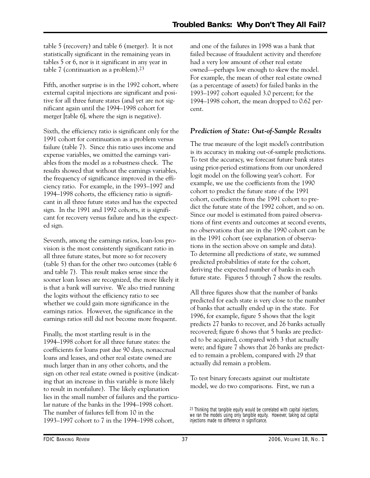table 5 (recovery) and table 6 (merger). It is not statistically significant in the remaining years in tables 5 or 6, nor is it significant in any year in table 7 (continuation as a problem).23

Fifth, another surprise is in the 1992 cohort, where external capital injections are significant and positive for all three future states (and yet are not significant again until the 1994–1998 cohort for merger [table 6], where the sign is negative).

Sixth, the efficiency ratio is significant only for the 1991 cohort for continuation as a problem versus failure (table 7). Since this ratio uses income and expense variables, we omitted the earnings variables from the model as a robustness check. The results showed that without the earnings variables, the frequency of significance improved in the efficiency ratio. For example, in the 1993–1997 and 1994–1998 cohorts, the efficiency ratio is significant in all three future states and has the expected sign. In the 1991 and 1992 cohorts, it is significant for recovery versus failure and has the expected sign.

Seventh, among the earnings ratios, loan-loss provision is the most consistently significant ratio in all three future states, but more so for recovery (table 5) than for the other two outcomes (table 6 and table 7). This result makes sense since the sooner loan losses are recognized, the more likely it is that a bank will survive. We also tried running the logits without the efficiency ratio to see whether we could gain more significance in the earnings ratios. However, the significance in the earnings ratios still did not become more frequent.

Finally, the most startling result is in the 1994–1998 cohort for all three future states: the coefficients for loans past due 90 days, nonaccrual loans and leases, and other real estate owned are much larger than in any other cohorts, and the sign on other real estate owned is positive (indicating that an increase in this variable is more likely to result in nonfailure). The likely explanation lies in the small number of failures and the particular nature of the banks in the 1994–1998 cohort. The number of failures fell from 10 in the 1993–1997 cohort to 7 in the 1994–1998 cohort,

and one of the failures in 1998 was a bank that failed because of fraudulent activity and therefore had a very low amount of other real estate owned—perhaps low enough to skew the model. For example, the mean of other real estate owned (as a percentage of assets) for failed banks in the 1993–1997 cohort equaled 3.0 percent; for the 1994–1998 cohort, the mean dropped to 0.62 percent.

# *Prediction of State: Out-of-Sample Results*

The true measure of the logit model's contribution is its accuracy in making out-of-sample predictions. To test the accuracy, we forecast future bank states using prior-period estimations from our unordered logit model on the following year's cohort. For example, we use the coefficients from the 1990 cohort to predict the future state of the 1991 cohort, coefficients from the 1991 cohort to predict the future state of the 1992 cohort, and so on. Since our model is estimated from paired observations of first events and outcomes at second events, no observations that are in the 1990 cohort can be in the 1991 cohort (see explanation of observations in the section above on sample and data). To determine all predictions of state, we summed predicted probabilities of state for the cohort, deriving the expected number of banks in each future state. Figures 5 through 7 show the results.

All three figures show that the number of banks predicted for each state is very close to the number of banks that actually ended up in the state. For 1996, for example, figure 5 shows that the logit predicts 27 banks to recover, and 26 banks actually recovered; figure 6 shows that 5 banks are predicted to be acquired, compared with 3 that actually were; and figure 7 shows that 26 banks are predicted to remain a problem, compared with 29 that actually did remain a problem.

To test binary forecasts against our multistate model, we do two comparisons. First, we run a

<sup>23</sup> Thinking that tangible equity would be correlated with capital injections, we ran the models using only tangible equity. However, taking out capital injections made no difference in significance.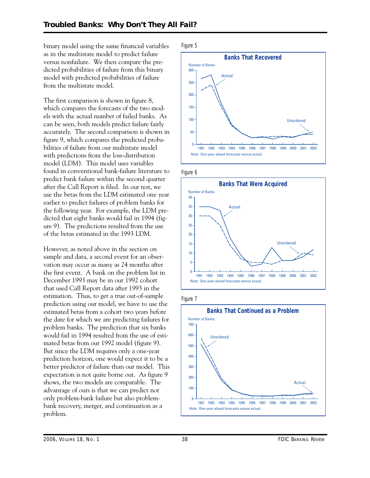binary model using the same financial variables as in the multistate model to predict failure versus nonfailure. We then compare the predicted probabilities of failure from this binary model with predicted probabilities of failure from the multistate model.

The first comparison is shown in figure 8, which compares the forecasts of the two models with the actual number of failed banks. As can be seen, both models predict failure fairly accurately. The second comparison is shown in figure 9, which compares the predicted probabilities of failure from our multistate model with predictions from the loss-distribution model (LDM). This model uses variables found in conventional bank-failure literature to predict bank failure within the second quarter after the Call Report is filed. In our test, we use the betas from the LDM estimated one year earlier to predict failures of problem banks for the following year. For example, the LDM predicted that eight banks would fail in 1994 (figure 9). The predictions resulted from the use of the betas estimated in the 1993 LDM.

 the first event. A bank on the problem list in However, as noted above in the section on sample and data, a second event for an observation may occur as many as 24 months after December 1993 may be in our 1992 cohort that used Call Report data after 1993 in the estimation. Thus, to get a true out-of-sample prediction using our model, we have to use the estimated betas from a cohort two years before the date for which we are predicting failures for problem banks. The prediction that six banks would fail in 1994 resulted from the use of estimated betas from our 1992 model (figure 9). But since the LDM requires only a one-year prediction horizon, one would expect it to be a better predictor of failure than our model. This expectation is not quite borne out. As figure 9 shows, the two models are comparable. The advantage of ours is that we can predict not only problem-bank failure but also problembank recovery, merger, and continuation as a problem.

Figure 5









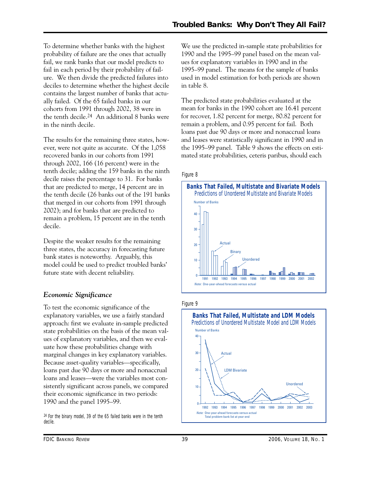To determine whether banks with the highest probability of failure are the ones that actually fail, we rank banks that our model predicts to fail in each period by their probability of failure. We then divide the predicted failures into deciles to determine whether the highest decile contains the largest number of banks that actually failed. Of the 65 failed banks in our cohorts from 1991 through 2002, 38 were in the tenth decile.24 An additional 8 banks were in the ninth decile.

The results for the remaining three states, however, were not quite as accurate. Of the 1,058 recovered banks in our cohorts from 1991 through 2002, 166 (16 percent) were in the tenth decile; adding the 159 banks in the ninth decile raises the percentage to 31. For banks that are predicted to merge, 14 percent are in the tenth decile (26 banks out of the 191 banks that merged in our cohorts from 1991 through 2002); and for banks that are predicted to remain a problem, 15 percent are in the tenth decile.

Despite the weaker results for the remaining three states, the accuracy in forecasting future bank states is noteworthy. Arguably, this model could be used to predict troubled banks' future state with decent reliability.

# *Economic Significance*

To test the economic significance of the explanatory variables, we use a fairly standard approach: first we evaluate in-sample predicted state probabilities on the basis of the mean values of explanatory variables, and then we evaluate how these probabilities change with marginal changes in key explanatory variables. Because asset-quality variables—specifically, loans past due 90 days or more and nonaccrual loans and leases—were the variables most consistently significant across panels, we compared their economic significance in two periods: 1990 and the panel 1995–99.

24 For the binary model, 39 of the 65 failed banks were in the tenth decile.

We use the predicted in-sample state probabilities for 1990 and the 1995–99 panel based on the mean values for explanatory variables in 1990 and in the 1995–99 panel. The means for the sample of banks used in model estimation for both periods are shown in table 8.

The predicted state probabilities evaluated at the mean for banks in the 1990 cohort are 16.41 percent for recover, 1.82 percent for merge, 80.82 percent for remain a problem, and 0.95 percent for fail. Both loans past due 90 days or more and nonaccrual loans and leases were statistically significant in 1990 and in the 1995–99 panel. Table 9 shows the effects on estimated state probabilities, ceteris paribus, should each

### Figure 8



#### Figure 9

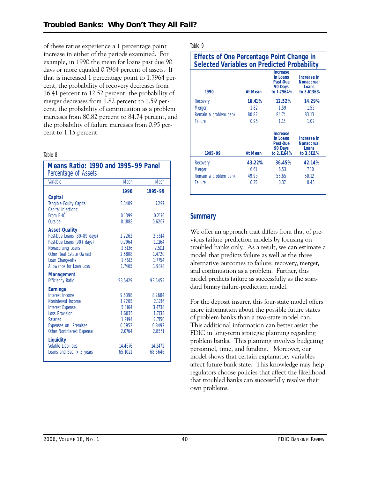of these ratios experience a 1 percentage point increase in either of the periods examined. For example, in 1990 the mean for loans past due 90 days or more equaled 0.7964 percent of assets. If that is increased 1 percentage point to 1.7964 percent, the probability of recovery decreases from 16.41 percent to 12.52 percent, the probability of merger decreases from 1.82 percent to 1.59 percent, the probability of continuation as a problem increases from 80.82 percent to 84.74 percent, and the probability of failure increases from 0.95 percent to 1.15 percent.

#### Table 8

| <b>Variable</b><br>Mean<br>Mean<br>1990<br>1995-99<br><b>Capital</b><br>Tangible Equity Capital<br>7297<br>5.3409<br>Capital Injections:<br>From BHC<br>0.1399<br>0.2176<br>Outside<br>0.6267<br>0.1888<br><b>Asset Quality</b><br>Past-Due Loans (30-89 days)<br>2.2262<br>2.5514<br>Past-Due Loans (90+ days)<br>0.7964<br>1.1164<br>Nonaccruing Loans<br>2.6136<br>2.5111<br>Other Real Estate Owned<br>2.6808<br>1.4720<br>1.7754<br>Loan Charge-offs<br>1.6613<br>Allowance for Loan Loss<br>1.7465<br>1.9878<br><b>Management</b><br><b>Efficiency Ratio</b><br>93.5429<br>93.5453<br><b>Earnings</b><br>Interest Income<br>9.6398<br>8.2684<br>1.2205<br>Noninterest Income<br>2.1216<br><b>Interest Expense</b><br>5.8164<br>3.4738<br><b>Loss Provision</b><br>1.6035<br>1.7133<br><b>Salaries</b><br>2.7150<br>1.9194<br>0.6952<br>0.8492<br>Expenses on Premises<br>2.0764<br>Other Noninterest Expense<br>2.8551<br>Liquidity<br><b>Volatile Liabilities</b><br>14.2472<br>14.4676<br>65.1021<br>Loans and Sec. $>$ 5 years<br>68.6646 | Means Ratio: 1990 and 1995–99 Panel<br>Percentage of Assets |  |
|----------------------------------------------------------------------------------------------------------------------------------------------------------------------------------------------------------------------------------------------------------------------------------------------------------------------------------------------------------------------------------------------------------------------------------------------------------------------------------------------------------------------------------------------------------------------------------------------------------------------------------------------------------------------------------------------------------------------------------------------------------------------------------------------------------------------------------------------------------------------------------------------------------------------------------------------------------------------------------------------------------------------------------------------------|-------------------------------------------------------------|--|
|                                                                                                                                                                                                                                                                                                                                                                                                                                                                                                                                                                                                                                                                                                                                                                                                                                                                                                                                                                                                                                                    |                                                             |  |
|                                                                                                                                                                                                                                                                                                                                                                                                                                                                                                                                                                                                                                                                                                                                                                                                                                                                                                                                                                                                                                                    |                                                             |  |
|                                                                                                                                                                                                                                                                                                                                                                                                                                                                                                                                                                                                                                                                                                                                                                                                                                                                                                                                                                                                                                                    |                                                             |  |
|                                                                                                                                                                                                                                                                                                                                                                                                                                                                                                                                                                                                                                                                                                                                                                                                                                                                                                                                                                                                                                                    |                                                             |  |
|                                                                                                                                                                                                                                                                                                                                                                                                                                                                                                                                                                                                                                                                                                                                                                                                                                                                                                                                                                                                                                                    |                                                             |  |
|                                                                                                                                                                                                                                                                                                                                                                                                                                                                                                                                                                                                                                                                                                                                                                                                                                                                                                                                                                                                                                                    |                                                             |  |
|                                                                                                                                                                                                                                                                                                                                                                                                                                                                                                                                                                                                                                                                                                                                                                                                                                                                                                                                                                                                                                                    |                                                             |  |
|                                                                                                                                                                                                                                                                                                                                                                                                                                                                                                                                                                                                                                                                                                                                                                                                                                                                                                                                                                                                                                                    |                                                             |  |
|                                                                                                                                                                                                                                                                                                                                                                                                                                                                                                                                                                                                                                                                                                                                                                                                                                                                                                                                                                                                                                                    |                                                             |  |
|                                                                                                                                                                                                                                                                                                                                                                                                                                                                                                                                                                                                                                                                                                                                                                                                                                                                                                                                                                                                                                                    |                                                             |  |
|                                                                                                                                                                                                                                                                                                                                                                                                                                                                                                                                                                                                                                                                                                                                                                                                                                                                                                                                                                                                                                                    |                                                             |  |
|                                                                                                                                                                                                                                                                                                                                                                                                                                                                                                                                                                                                                                                                                                                                                                                                                                                                                                                                                                                                                                                    |                                                             |  |
|                                                                                                                                                                                                                                                                                                                                                                                                                                                                                                                                                                                                                                                                                                                                                                                                                                                                                                                                                                                                                                                    |                                                             |  |
|                                                                                                                                                                                                                                                                                                                                                                                                                                                                                                                                                                                                                                                                                                                                                                                                                                                                                                                                                                                                                                                    |                                                             |  |
|                                                                                                                                                                                                                                                                                                                                                                                                                                                                                                                                                                                                                                                                                                                                                                                                                                                                                                                                                                                                                                                    |                                                             |  |
|                                                                                                                                                                                                                                                                                                                                                                                                                                                                                                                                                                                                                                                                                                                                                                                                                                                                                                                                                                                                                                                    |                                                             |  |
|                                                                                                                                                                                                                                                                                                                                                                                                                                                                                                                                                                                                                                                                                                                                                                                                                                                                                                                                                                                                                                                    |                                                             |  |
|                                                                                                                                                                                                                                                                                                                                                                                                                                                                                                                                                                                                                                                                                                                                                                                                                                                                                                                                                                                                                                                    |                                                             |  |
|                                                                                                                                                                                                                                                                                                                                                                                                                                                                                                                                                                                                                                                                                                                                                                                                                                                                                                                                                                                                                                                    |                                                             |  |
|                                                                                                                                                                                                                                                                                                                                                                                                                                                                                                                                                                                                                                                                                                                                                                                                                                                                                                                                                                                                                                                    |                                                             |  |
|                                                                                                                                                                                                                                                                                                                                                                                                                                                                                                                                                                                                                                                                                                                                                                                                                                                                                                                                                                                                                                                    |                                                             |  |
|                                                                                                                                                                                                                                                                                                                                                                                                                                                                                                                                                                                                                                                                                                                                                                                                                                                                                                                                                                                                                                                    |                                                             |  |
|                                                                                                                                                                                                                                                                                                                                                                                                                                                                                                                                                                                                                                                                                                                                                                                                                                                                                                                                                                                                                                                    |                                                             |  |
|                                                                                                                                                                                                                                                                                                                                                                                                                                                                                                                                                                                                                                                                                                                                                                                                                                                                                                                                                                                                                                                    |                                                             |  |
|                                                                                                                                                                                                                                                                                                                                                                                                                                                                                                                                                                                                                                                                                                                                                                                                                                                                                                                                                                                                                                                    |                                                             |  |
|                                                                                                                                                                                                                                                                                                                                                                                                                                                                                                                                                                                                                                                                                                                                                                                                                                                                                                                                                                                                                                                    |                                                             |  |
|                                                                                                                                                                                                                                                                                                                                                                                                                                                                                                                                                                                                                                                                                                                                                                                                                                                                                                                                                                                                                                                    |                                                             |  |

Table 9

| <b>Effects of One Percentage Point Change in</b><br><b>Selected Variables on Predicted Probability</b> |                |                                                                  |                                                         |  |  |  |  |  |
|--------------------------------------------------------------------------------------------------------|----------------|------------------------------------------------------------------|---------------------------------------------------------|--|--|--|--|--|
| 1990                                                                                                   | <b>At Mean</b> | Increase<br>in Loans<br>Past-Due<br>90 Days<br>to 1.7964%        | Increase in<br><b>Nonaccrual</b><br>Loans<br>to 3.6136% |  |  |  |  |  |
| Recovery                                                                                               | 16.41%         | 12.52%                                                           | 14.29%                                                  |  |  |  |  |  |
| Merger                                                                                                 | 1.82           | 1.59                                                             | 1.55                                                    |  |  |  |  |  |
| Remain a problem bank                                                                                  | 80.82          | 84.74                                                            | 83.13                                                   |  |  |  |  |  |
| Failure                                                                                                | 0.95           | 1.15                                                             | 1.02                                                    |  |  |  |  |  |
| 1995-99                                                                                                | At Mean        | <b>Increase</b><br>in Loans<br>Past-Due<br>90 Days<br>to 2.1164% | Increase in<br><b>Nonaccrual</b><br>Loans<br>to 3.5111% |  |  |  |  |  |
| Recovery                                                                                               | 43.22%         | 36.45%                                                           | 42.14%                                                  |  |  |  |  |  |
| Merger                                                                                                 | 6.61           | 6.53                                                             | 7.30                                                    |  |  |  |  |  |
| Remain a problem bank                                                                                  | 49.93          | 56.65                                                            | 50.12                                                   |  |  |  |  |  |
| Failure                                                                                                | 0.25           | 0.37                                                             | 0.45                                                    |  |  |  |  |  |
|                                                                                                        |                |                                                                  |                                                         |  |  |  |  |  |

# **Summary**

We offer an approach that differs from that of previous failure-prediction models by focusing on troubled banks only. As a result, we can estimate a model that predicts failure as well as the three alternative outcomes to failure: recovery, merger, and continuation as a problem. Further, this model predicts failure as successfully as the standard binary failure-prediction model.

For the deposit insurer, this four-state model offers more information about the possible future states of problem banks than a two-state model can. This additional information can better assist the FDIC in long-term strategic planning regarding problem banks. This planning involves budgeting personnel, time, and funding. Moreover, our model shows that certain explanatory variables affect future bank state. This knowledge may help regulators choose policies that affect the likelihood that troubled banks can successfully resolve their own problems.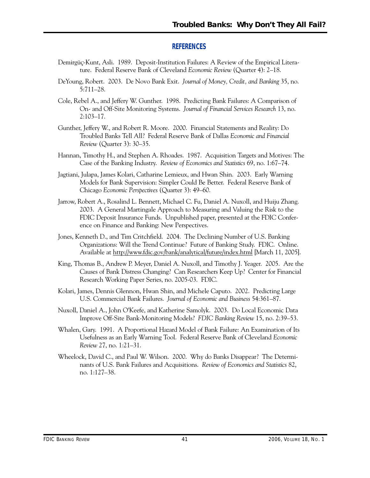# **REFERENCES**

- Demirgüç-Kunt, Asli. 1989. Deposit-Institution Failures: A Review of the Empirical Literature. Federal Reserve Bank of Cleveland *Economic Review* (Quarter 4): 2–18.
- DeYoung, Robert. 2003. De Novo Bank Exit. *Journal of Money, Credit, and Banking* 35, no. 5:711–28.
- Cole, Rebel A., and Jeffery W. Gunther. 1998. Predicting Bank Failures: A Comparison of On- and Off-Site Monitoring Systems. *Journal of Financial Services Research* 13, no. 2:103–17.
- Gunther, Jeffery W., and Robert R. Moore. 2000. Financial Statements and Reality: Do Troubled Banks Tell All? Federal Reserve Bank of Dallas *Economic and Financial Review* (Quarter 3): 30–35.
- Hannan, Timothy H., and Stephen A. Rhoades. 1987. Acquisition Targets and Motives: The Case of the Banking Industry. *Review of Economics and Statistics* 69, no. 1:67–74.
- Jagtiani, Julapa, James Kolari, Catharine Lemieux, and Hwan Shin. 2003. Early Warning Models for Bank Supervision: Simpler Could Be Better. Federal Reserve Bank of Chicago *Economic Perspectives* (Quarter 3): 49–60.
- 2003. A General Martingale Approach to Measuring and Valuing the Risk to the Jarrow, Robert A., Rosalind L. Bennett, Michael C. Fu, Daniel A. Nuxoll, and Huiju Zhang. FDIC Deposit Insurance Funds. Unpublished paper, presented at the FDIC Conference on Finance and Banking: New Perspectives.
- Jones, Kenneth D., and Tim Critchfield. 2004. The Declining Number of U.S. Banking Organizations: Will the Trend Continue? Future of Banking Study. FDIC. Online. Available at http://www.fdic.gov/bank/analytical/future/index.html [March 11, 2005].
- King, Thomas B., Andrew P. Meyer, Daniel A. Nuxoll, and Timothy J. Yeager. 2005. Are the Causes of Bank Distress Changing? Can Researchers Keep Up? Center for Financial Research Working Paper Series, no. 2005-03. FDIC.
- Kolari, James, Dennis Glennon, Hwan Shin, and Michele Caputo. 2002. Predicting Large U.S. Commercial Bank Failures. *Journal of Economic and Business* 54:361–87.
- Nuxoll, Daniel A., John O'Keefe, and Katherine Samolyk. 2003. Do Local Economic Data Improve Off-Site Bank-Monitoring Models? *FDIC Banking Review* 15, no. 2:39–53.
- Whalen, Gary. 1991. A Proportional Hazard Model of Bank Failure: An Examination of Its Usefulness as an Early Warning Tool. Federal Reserve Bank of Cleveland *Economic Review* 27, no. 1:21–31.
- Wheelock, David C., and Paul W. Wilson. 2000. Why do Banks Disappear? The Determinants of U.S. Bank Failures and Acquisitions. *Review of Economics and Statistics* 82, no. 1:127–38.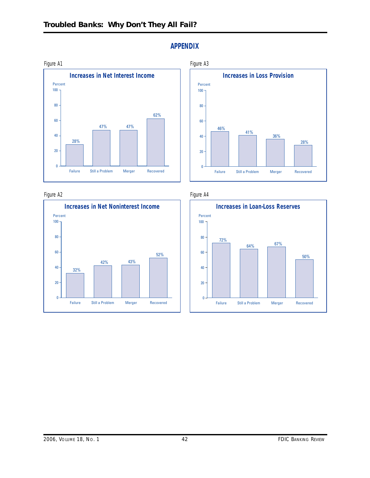

Figure A2



**APPENDIX** 





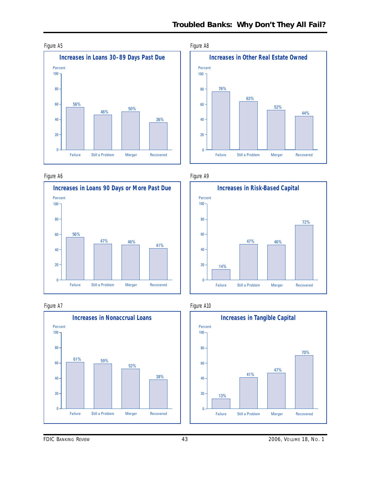

#### Figure A6



#### Figure A7





Figure A9